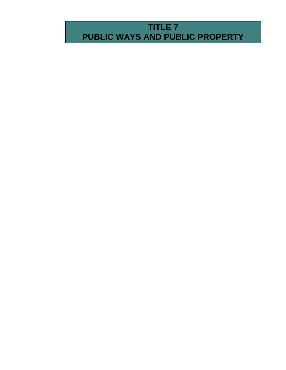# **TITLE 7 PUBLIC WAYS AND PUBLIC PROPERTY**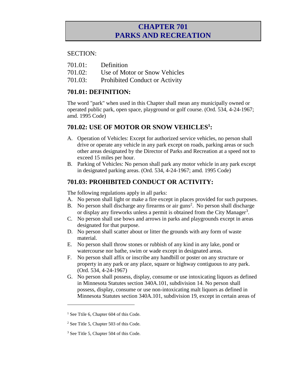### **CHAPTER 701 PARKS AND RECREATION**

#### SECTION:

- 701.01: Definition
- 701.02: Use of Motor or Snow Vehicles
- 701.03: Prohibited Conduct or Activity

### **701.01: DEFINITION:**

The word "park" when used in this Chapter shall mean any municipally owned or operated public park, open space, playground or golf course. (Ord. 534, 4-24-1967; amd. 1995 Code)

### **701.02: USE OF MOTOR OR SNOW VEHICLES<sup>1</sup> :**

- A. Operation of Vehicles: Except for authorized service vehicles, no person shall drive or operate any vehicle in any park except on roads, parking areas or such other areas designated by the Director of Parks and Recreation at a speed not to exceed 15 miles per hour.
- B. Parking of Vehicles: No person shall park any motor vehicle in any park except in designated parking areas. (Ord. 534, 4-24-1967; amd. 1995 Code)

### **701.03: PROHIBITED CONDUCT OR ACTIVITY:**

The following regulations apply in all parks:

- A. No person shall light or make a fire except in places provided for such purposes.
- B. No person shall discharge any firearms or air guns<sup>2</sup>. No person shall discharge or display any fireworks unless a permit is obtained from the City Manager<sup>3</sup>.
- C. No person shall use bows and arrows in parks and playgrounds except in areas designated for that purpose.
- D. No person shall scatter about or litter the grounds with any form of waste material.
- E. No person shall throw stones or rubbish of any kind in any lake, pond or watercourse nor bathe, swim or wade except in designated areas.
- F. No person shall affix or inscribe any handbill or poster on any structure or property in any park or any place, square or highway contiguous to any park. (Ord. 534, 4-24-1967)
- G. No person shall possess, display, consume or use intoxicating liquors as defined in Minnesota Statutes section 340A.101, subdivision 14. No person shall possess, display, consume or use non-intoxicating malt liquors as defined in Minnesota Statutes section 340A.101, subdivision 19, except in certain areas of

 $\overline{a}$ 

<sup>&</sup>lt;sup>1</sup> See Ttile 6, Chapter 604 of this Code.

<sup>2</sup> See Title 5, Chapter 503 of this Code.

<sup>3</sup> See Title 5, Chapter 504 of this Code.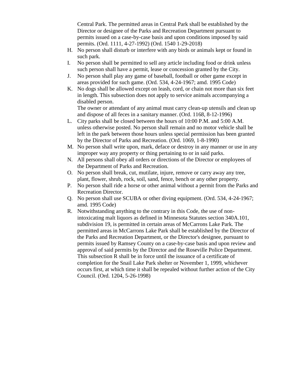Central Park. The permitted areas in Central Park shall be established by the Director or designee of the Parks and Recreation Department pursuant to permits issued on a case-by-case basis and upon conditions imposed by said permits. (Ord. 1111, 4-27-1992) (Ord. 1540 1-29-2018)

- H. No person shall disturb or interfere with any birds or animals kept or found in such park.
- I. No person shall be permitted to sell any article including food or drink unless such person shall have a permit, lease or concession granted by the City.
- J. No person shall play any game of baseball, football or other game except in areas provided for such game. (Ord. 534, 4-24-1967; amd. 1995 Code)
- K. No dogs shall be allowed except on leash, cord, or chain not more than six feet in length. This subsection does not apply to service animals accompanying a disabled person.

The owner or attendant of any animal must carry clean-up utensils and clean up and dispose of all feces in a sanitary manner. (Ord. 1168, 8-12-1996)

- L. City parks shall be closed between the hours of 10:00 P.M. and 5:00 A.M. unless otherwise posted. No person shall remain and no motor vehicle shall be left in the park between those hours unless special permission has been granted by the Director of Parks and Recreation. (Ord. 1069, 1-8-1990)
- M. No person shall write upon, mark, deface or destroy in any manner or use in any improper way any property or thing pertaining to or in said parks.
- N. All persons shall obey all orders or directions of the Director or employees of the Department of Parks and Recreation.
- O. No person shall break, cut, mutilate, injure, remove or carry away any tree, plant, flower, shrub, rock, soil, sand, fence, bench or any other property.
- P. No person shall ride a horse or other animal without a permit from the Parks and Recreation Director.
- Q. No person shall use SCUBA or other diving equipment. (Ord. 534, 4-24-1967; amd. 1995 Code)
- R. Notwithstanding anything to the contrary in this Code, the use of nonintoxicating malt liquors as defined in Minnesota Statutes section 340A.101, subdivision 19, is permitted in certain areas of McCarrons Lake Park. The permitted areas in McCarrons Lake Park shall be established by the Director of the Parks and Recreation Department, or the Director's designee, pursuant to permits issued by Ramsey County on a case-by-case basis and upon review and approval of said permits by the Director and the Roseville Police Department. This subsection R shall be in force until the issuance of a certificate of completion for the Snail Lake Park shelter or November 1, 1999, whichever occurs first, at which time it shall be repealed without further action of the City Council. (Ord. 1204, 5-26-1998)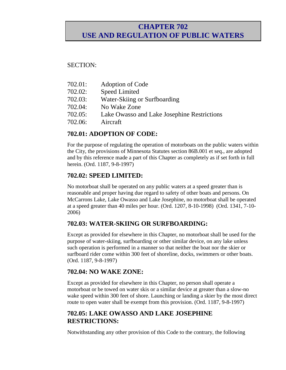### **CHAPTER 702 USE AND REGULATION OF PUBLIC WATERS**

#### SECTION:

| 702.01: | Adoption of Code                            |
|---------|---------------------------------------------|
| 702.02: | <b>Speed Limited</b>                        |
| 702.03: | Water-Skiing or Surfboarding                |
| 702.04: | No Wake Zone                                |
| 702.05: | Lake Owasso and Lake Josephine Restrictions |
| 702.06: | Aircraft                                    |
|         |                                             |

### **702.01: ADOPTION OF CODE:**

For the purpose of regulating the operation of motorboats on the public waters within the City, the provisions of Minnesota Statutes section 86B.001 et seq., are adopted and by this reference made a part of this Chapter as completely as if set forth in full herein. (Ord. 1187, 9-8-1997)

### **702.02: SPEED LIMITED:**

No motorboat shall be operated on any public waters at a speed greater than is reasonable and proper having due regard to safety of other boats and persons. On McCarrons Lake, Lake Owasso and Lake Josephine, no motorboat shall be operated at a speed greater than 40 miles per hour. (Ord. 1207, 8-10-1998) (Ord. 1341, 7-10- 2006)

### **702.03: WATER-SKIING OR SURFBOARDING:**

Except as provided for elsewhere in this Chapter, no motorboat shall be used for the purpose of water-skiing, surfboarding or other similar device, on any lake unless such operation is performed in a manner so that neither the boat nor the skier or surfboard rider come within 300 feet of shoreline, docks, swimmers or other boats. (Ord. 1187, 9-8-1997)

### **702.04: NO WAKE ZONE:**

Except as provided for elsewhere in this Chapter, no person shall operate a motorboat or be towed on water skis or a similar device at greater than a slow-no wake speed within 300 feet of shore. Launching or landing a skier by the most direct route to open water shall be exempt from this provision. (Ord. 1187, 9-8-1997)

### **702.05: LAKE OWASSO AND LAKE JOSEPHINE RESTRICTIONS:**

Notwithstanding any other provision of this Code to the contrary, the following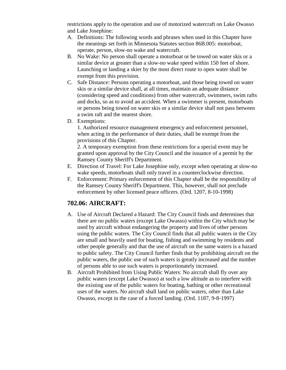restrictions apply to the operation and use of motorized watercraft on Lake Owasso and Lake Josephine:

- A. Definitions: The following words and phrases when used in this Chapter have the meanings set forth in Minnesota Statutes section 86B.005: motorboat, operate, person, slow-no wake and watercraft.
- B. No Wake: No person shall operate a motorboat or be towed on water skis or a similar device at greater than a slow-no wake speed within 150 feet of shore. Launching or landing a skier by the most direct route to open water shall be exempt from this provision.
- C. Safe Distance: Persons operating a motorboat, and those being towed on water skis or a similar device shall, at all times, maintain an adequate distance (considering speed and conditions) from other watercraft, swimmers, swim rafts and docks, so as to avoid an accident. When a swimmer is present, motorboats or persons being towed on water skis or a similar device shall not pass between a swim raft and the nearest shore.
- D. Exemptions:

1. Authorized resource management emergency and enforcement personnel, when acting in the performance of their duties, shall be exempt from the provisions of this Chapter.

2. A temporary exemption from these restrictions for a special event may be granted upon approval by the City Council and the issuance of a permit by the Ramsey County Sheriff's Department.

- E. Direction of Travel: For Lake Josephine only, except when operating at slow-no wake speeds, motorboats shall only travel in a counterclockwise direction.
- F. Enforcement: Primary enforcement of this Chapter shall be the responsibility of the Ramsey County Sheriff's Department. This, however, shall not preclude enforcement by other licensed peace officers. (Ord. 1207, 8-10-1998)

### **702.06: AIRCRAFT:**

- A. Use of Aircraft Declared a Hazard: The City Council finds and determines that there are no public waters (except Lake Owasso) within the City which may be used by aircraft without endangering the property and lives of other persons using the public waters. The City Council finds that all public waters in the City are small and heavily used for boating, fishing and swimming by residents and other people generally and that the use of aircraft on the same waters is a hazard to public safety. The City Council further finds that by prohibiting aircraft on the public waters, the public use of such waters is greatly increased and the number of persons able to use such waters is proportionately increased.
- B. Aircraft Prohibited from Using Public Waters: No aircraft shall fly over any public waters (except Lake Owasso) at such a low altitude as to interfere with the existing use of the public waters for boating, bathing or other recreational uses of the waters. No aircraft shall land on public waters, other than Lake Owasso, except in the case of a forced landing. (Ord. 1187, 9-8-1997)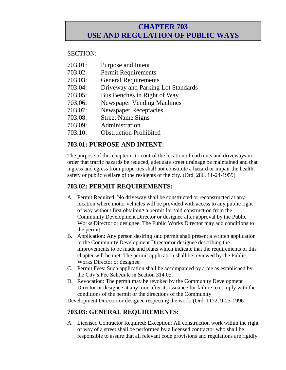### **CHAPTER 703 USE AND REGULATION OF PUBLIC WAYS**

#### SECTION:

- 703.01: Purpose and Intent
- 703.02: Permit Requirements
- 703.03: General Requirements
- 703.04: Driveway and Parking Lot Standards
- 703.05: Bus Benches in Right of Way
- 703.06: Newspaper Vending Machines
- 703.07: Newspaper Receptacles
- 703.08: Street Name Signs
- 703.09: Administration
- 703.10: Obstruction Prohibited

### **703.01: PURPOSE AND INTENT:**

The purpose of this chapter is to control the location of curb cuts and driveways in order that traffic hazards be reduced, adequate street drainage be maintained and that ingress and egress from properties shall not constitute a hazard or impair the health, safety or public welfare of the residents of the city. (Ord. 286, 11-24-1959)

### **703.02: PERMIT REQUIREMENTS:**

- A. Permit Required: No driveway shall be constructed or reconstructed at any location where motor vehicles will be provided with access to any public right of way without first obtaining a permit for said construction from the Community Development Director or designee after approval by the Public Works Director or designee. The Public Works Director may add conditions to the permit.
- B. Application: Any person desiring said permit shall present a written application to the Community Development Director or designee describing the improvements to be made and plans which indicate that the requirements of this chapter will be met. The permit application shall be reviewed by the Public Works Director or designee.
- C. Permit Fees: Such application shall be accompanied by a fee as established by the City's Fee Schedule in Section 314.05.
- D. Revocation: The permit may be revoked by the Community Development Director or designee at any time after its issuance for failure to comply with the conditions of the permit or the directions of the Community

Development Director or designee respecting the work. (Ord. 1172, 9-23-1996)

### **703.03: GENERAL REQUIREMENTS:**

A. Licensed Contractor Required; Exception: All construction work within the right of way of a street shall be performed by a licensed contractor who shall be responsible to assure that all relevant code provisions and regulations are rigidly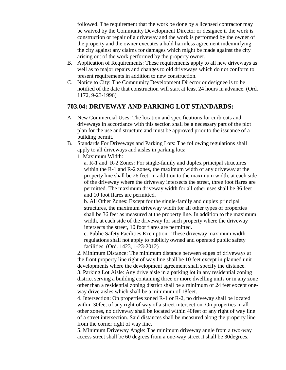followed. The requirement that the work be done by a licensed contractor may be waived by the Community Development Director or designee if the work is construction or repair of a driveway and the work is performed by the owner of the property and the owner executes a hold harmless agreement indemnifying the city against any claims for damages which might be made against the city arising out of the work performed by the property owner.

- B. Application of Requirements: These requirements apply to all new driveways as well as to major repairs and changes to old driveways which do not conform to present requirements in addition to new construction.
- C. Notice to City: The Community Development Director or designee is to be notified of the date that construction will start at least 24 hours in advance. (Ord. 1172, 9-23-1996)

#### **703.04: DRIVEWAY AND PARKING LOT STANDARDS:**

- A. New Commercial Uses: The location and specifications for curb cuts and driveways in accordance with this section shall be a necessary part of the plot plan for the use and structure and must be approved prior to the issuance of a building permit.
- B. Standards For Driveways and Parking Lots: The following regulations shall apply to all driveways and aisles in parking lots:
	- 1. Maximum Width:

a. R-1 and R-2 Zones: For single-family and duplex principal structures within the R-1 and R-2 zones, the maximum width of any driveway at the property line shall be 26 feet. In addition to the maximum width, at each side of the driveway where the driveway intersects the street, three foot flares are permitted. The maximum driveway width for all other uses shall be 36 feet and 10 foot flares are permitted.

b. All Other Zones: Except for the single-family and duplex principal structures, the maximum driveway width for all other types of properties shall be 36 feet as measured at the property line. In addition to the maximum width, at each side of the driveway for such property where the driveway intersects the street, 10 foot flares are permitted.

c. Public Safety Facilities Exemption. These driveway maximum width regulations shall not apply to publicly owned and operated public safety facilities. (Ord. 1423, 1-23-2012)

2. Minimum Distance: The minimum distance between edges of driveways at the front property line right of way line shall be 10 feet except in planned unit developments where the development agreement shall specify the distance.

3. Parking Lot Aisle: Any drive aisle in a parking lot in any residential zoning district serving a building containing three or more dwelling units or in any zone other than a residential zoning district shall be a minimum of 24 feet except oneway drive aisles which shall be a minimum of 18feet.

4. Intersection: On properties zoned R-1 or R-2, no driveway shall be located within 30feet of any right of way of a street intersection. On properties in all other zones, no driveway shall be located within 40feet of any right of way line of a street intersection. Said distances shall be measured along the property line from the corner right of way line.

5. Minimum Driveway Angle: The minimum driveway angle from a two-way access street shall be 60 degrees from a one-way street it shall be 30degrees.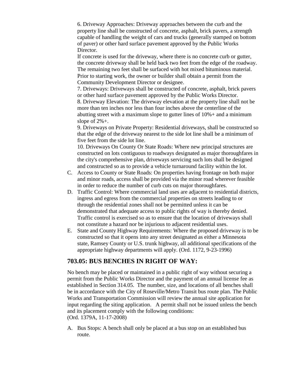6. Driveway Approaches: Driveway approaches between the curb and the property line shall be constructed of concrete, asphalt, brick pavers, a strength capable of handling the weight of cars and trucks (generally stamped on bottom of paver) or other hard surface pavement approved by the Public Works Director.

If concrete is used for the driveway, where there is no concrete curb or gutter, the concrete driveway shall be held back two feet from the edge of the roadway. The remaining two feet shall be surfaced with hot mixed bituminous material. Prior to starting work, the owner or builder shall obtain a permit from the Community Development Director or designee.

7. Driveways: Driveways shall be constructed of concrete, asphalt, brick pavers or other hard surface pavement approved by the Public Works Director.

8. Driveway Elevation: The driveway elevation at the property line shall not be more than ten inches nor less than four inches above the centerline of the abutting street with a maximum slope to gutter lines of 10%+ and a minimum slope of 2%+.

9. Driveways on Private Property: Residential driveways, shall be constructed so that the edge of the driveway nearest to the side lot line shall be a minimum of five feet from the side lot line.

10. Driveways On County Or State Roads: Where new principal structures are constructed on lots contiguous to roadways designated as major thoroughfares in the city's comprehensive plan, driveways servicing such lots shall be designed and constructed so as to provide a vehicle turnaround facility within the lot.

- C. Access to County or State Roads: On properties having frontage on both major and minor roads, access shall be provided via the minor road wherever feasible in order to reduce the number of curb cuts on major thoroughfares.
- D. Traffic Control: Where commercial land uses are adjacent to residential districts, ingress and egress from the commercial properties on streets leading to or through the residential zones shall not be permitted unless it can be demonstrated that adequate access to public rights of way is thereby denied. Traffic control is exercised so as to ensure that the location of driveways shall not constitute a hazard nor be injurious to adjacent residential uses.
- E. State and County Highway Requirements: Where the proposed driveway is to be constructed so that it opens into any street designated as either a Minnesota state, Ramsey County or U.S. trunk highway, all additional specifications of the appropriate highway departments will apply. (Ord. 1172, 9-23-1996)

### **703.05: BUS BENCHES IN RIGHT OF WAY:**

No bench may be placed or maintained in a public right of way without securing a permit from the Public Works Director and the payment of an annual license fee as established in Section 314.05. The number, size, and locations of all benches shall be in accordance with the City of Roseville/Metro Transit bus route plan. The Public Works and Transportation Commission will review the annual site application for input regarding the siting application. A permit shall not be issued unless the bench and its placement comply with the following conditions: (Ord. 1379A, 11-17-2008)

A. Bus Stops: A bench shall only be placed at a bus stop on an established bus route.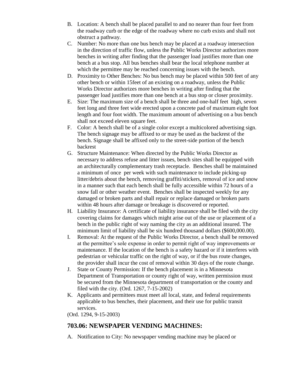- B. Location: A bench shall be placed parallel to and no nearer than four feet from the roadway curb or the edge of the roadway where no curb exists and shall not obstruct a pathway.
- C. Number: No more than one bus bench may be placed at a roadway intersection in the direction of traffic flow, unless the Public Works Director authorizes more benches in writing after finding that the passenger load justifies more than one bench at a bus stop. All bus benches shall bear the local telephone number at which the permittee may be reached concerning issues with the bench.
- D. Proximity to Other Benches: No bus bench may be placed within 500 feet of any other bench or within 15feet of an existing on a roadway, unless the Public Works Director authorizes more benches in writing after finding that the passenger load justifies more than one bench at a bus stop or closer proximity.
- E. Size: The maximum size of a bench shall be three and one-half feet high, seven feet long and three feet wide erected upon a concrete pad of maximum eight foot length and four foot width. The maximum amount of advertising on a bus bench shall not exceed eleven square feet.
- F. Color: A bench shall be of a single color except a multicolored advertising sign. The bench signage may be affixed to or may be used as the backrest of the bench. Signage shall be affixed only to the street-side portion of the bench backrest
- G. Structure Maintenance: When directed by the Public Works Director as necessary to address refuse and litter issues, bench sites shall be equipped with an architecturally complementary trash receptacle. Benches shall be maintained a minimum of once per week with such maintenance to include picking-up litter/debris about the bench, removing graffiti/stickers, removal of ice and snow in a manner such that each bench shall be fully accessible within 72 hours of a snow fall or other weather event. Benches shall be inspected weekly for any damaged or broken parts and shall repair or replace damaged or broken parts within 48 hours after damage or breakage is discovered or reported.
- H. Liability Insurance: A certificate of liability insurance shall be filed with the city covering claims for damages which might arise out of the use or placement of a bench in the public right of way naming the city as an additional insured. The minimum limit of liability shall be six hundred thousand dollars (\$600,000.00).
- I. Removal: At the request of the Public Works Director, a bench shall be removed at the permittee's sole expense in order to permit right of way improvements or maintenance. If the location of the bench is a safety hazard or if it interferes with pedestrian or vehicular traffic on the right of way, or if the bus route changes, the provider shall incur the cost of removal within 30 days of the route change.
- J. State or County Permission: If the bench placement is in a Minnesota Department of Transportation or county right of way, written permission must be secured from the Minnesota department of transportation or the county and filed with the city. (Ord. 1267, 7-15-2002)
- K. Applicants and permittees must meet all local, state, and federal requirements applicable to bus benches, their placement, and their use for public transit services.

(Ord. 1294, 9-15-2003)

### **703.06: NEWSPAPER VENDING MACHINES:**

A. Notification to City: No newspaper vending machine may be placed or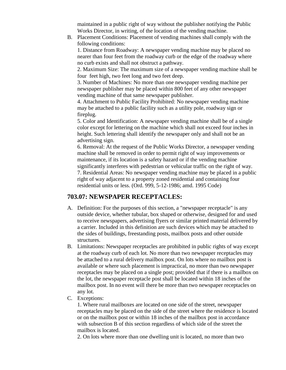maintained in a public right of way without the publisher notifying the Public Works Director, in writing, of the location of the vending machine.

B. Placement Conditions: Placement of vending machines shall comply with the following conditions:

1. Distance from Roadway: A newspaper vending machine may be placed no nearer than four feet from the roadway curb or the edge of the roadway where no curb exists and shall not obstruct a pathway.

2. Maximum Size: The maximum size of a newspaper vending machine shall be four feet high, two feet long and two feet deep.

3. Number of Machines: No more than one newspaper vending machine per newspaper publisher may be placed within 800 feet of any other newspaper vending machine of that same newspaper publisher.

4. Attachment to Public Facility Prohibited: No newspaper vending machine may be attached to a public facility such as a utility pole, roadway sign or fireplug.

5. Color and Identification: A newspaper vending machine shall be of a single color except for lettering on the machine which shall not exceed four inches in height. Such lettering shall identify the newspaper only and shall not be an advertising sign.

6. Removal: At the request of the Public Works Director, a newspaper vending machine shall be removed in order to permit right of way improvements or maintenance, if its location is a safety hazard or if the vending machine significantly interferes with pedestrian or vehicular traffic on the right of way. 7. Residential Areas: No newspaper vending machine may be placed in a public right of way adjacent to a property zoned residential and containing four residential units or less. (Ord. 999, 5-12-1986; amd. 1995 Code)

### **703.07: NEWSPAPER RECEPTACLES:**

- A. Definition: For the purposes of this section, a "newspaper receptacle" is any outside device, whether tubular, box shaped or otherwise, designed for and used to receive newspapers, advertising flyers or similar printed material delivered by a carrier. Included in this definition are such devices which may be attached to the sides of buildings, freestanding posts, mailbox posts and other outside structures.
- B. Limitations: Newspaper receptacles are prohibited in public rights of way except at the roadway curb of each lot. No more than two newspaper receptacles may be attached to a rural delivery mailbox post. On lots where no mailbox post is available or where such placement is impractical, no more than two newspaper receptacles may be placed on a single post; provided that if there is a mailbox on the lot, the newspaper receptacle post shall be located within 18 inches of the mailbox post. In no event will there be more than two newspaper receptacles on any lot.
- C. Exceptions:

1. Where rural mailboxes are located on one side of the street, newspaper receptacles may be placed on the side of the street where the residence is located or on the mailbox post or within 18 inches of the mailbox post in accordance with subsection B of this section regardless of which side of the street the mailbox is located.

2. On lots where more than one dwelling unit is located, no more than two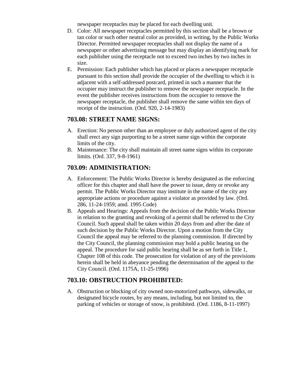newspaper receptacles may be placed for each dwelling unit.

- D. Color: All newspaper receptacles permitted by this section shall be a brown or tan color or such other neutral color as provided, in writing, by the Public Works Director. Permitted newspaper receptacles shall not display the name of a newspaper or other advertising message but may display an identifying mark for each publisher using the receptacle not to exceed two inches by two inches in size.
- E. Permission: Each publisher which has placed or places a newspaper receptacle pursuant to this section shall provide the occupier of the dwelling to which it is adjacent with a self-addressed postcard, printed in such a manner that the occupier may instruct the publisher to remove the newspaper receptacle. In the event the publisher receives instructions from the occupier to remove the newspaper receptacle, the publisher shall remove the same within ten days of receipt of the instruction. (Ord. 920, 2-14-1983)

#### **703.08: STREET NAME SIGNS:**

- A. Erection: No person other than an employee or duly authorized agent of the city shall erect any sign purporting to be a street name sign within the corporate limits of the city.
- B. Maintenance: The city shall maintain all street name signs within its corporate limits. (Ord. 337, 9-8-1961)

### **703.09: ADMINISTRATION:**

- A. Enforcement: The Public Works Director is hereby designated as the enforcing officer for this chapter and shall have the power to issue, deny or revoke any permit. The Public Works Director may institute in the name of the city any appropriate actions or procedure against a violator as provided by law. (Ord. 286, 11-24-1959; amd. 1995 Code)
- B. Appeals and Hearings: Appeals from the decision of the Public Works Director in relation to the granting and revoking of a permit shall be referred to the City Council. Such appeal shall be taken within 20 days from and after the date of such decision by the Public Works Director. Upon a motion from the City Council the appeal may be referred to the planning commission. If directed by the City Council, the planning commission may hold a public hearing on the appeal. The procedure for said public hearing shall be as set forth in Title 1, Chapter 108 of this code. The prosecution for violation of any of the provisions herein shall be held in abeyance pending the determination of the appeal to the City Council. (Ord. 1175A, 11-25-1996)

### **703.10: OBSTRUCTION PROHIBITED:**

A. Obstruction or blocking of city owned non-motorized pathways, sidewalks, or designated bicycle routes, by any means, including, but not limited to, the parking of vehicles or storage of snow, is prohibited. (Ord. 1186, 8-11-1997)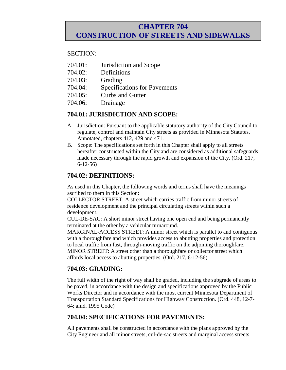### **CHAPTER 704 CONSTRUCTION OF STREETS AND SIDEWALKS**

#### SECTION:

- 704.01: Jurisdiction and Scope
- 704.02: Definitions
- 704.03: Grading
- 704.04: Specifications for Pavements
- 704.05: Curbs and Gutter
- 704.06: Drainage

#### **704.01: JURISDICTION AND SCOPE:**

- A. Jurisdiction: Pursuant to the applicable statutory authority of the City Council to regulate, control and maintain City streets as provided in Minnesota Statutes, Annotated, chapters 412, 429 and 471.
- B. Scope: The specifications set forth in this Chapter shall apply to all streets hereafter constructed within the City and are considered as additional safeguards made necessary through the rapid growth and expansion of the City. (Ord. 217, 6-12-56)

### **704.02: DEFINITIONS:**

As used in this Chapter, the following words and terms shall have the meanings ascribed to them in this Section:

COLLECTOR STREET: A street which carries traffic from minor streets of residence development and the principal circulating streets within such a development.

CUL-DE-SAC: A short minor street having one open end and being permanently terminated at the other by a vehicular turnaround.

MARGINAL-ACCESS STREET: A minor street which is parallel to and contiguous with a thoroughfare and which provides access to abutting properties and protection to local traffic from fast, through-moving traffic on the adjoining thoroughfare. MINOR STREET: A street other than a thoroughfare or collector street which affords local access to abutting properties. (Ord. 217, 6-12-56)

### **704.03: GRADING:**

The full width of the right of way shall be graded, including the subgrade of areas to be paved, in accordance with the design and specifications approved by the Public Works Director and in accordance with the most current Minnesota Department of Transportation Standard Specifications for Highway Construction. (Ord. 448, 12-7- 64; amd. 1995 Code)

### **704.04: SPECIFICATIONS FOR PAVEMENTS:**

All pavements shall be constructed in accordance with the plans approved by the City Engineer and all minor streets, cul-de-sac streets and marginal access streets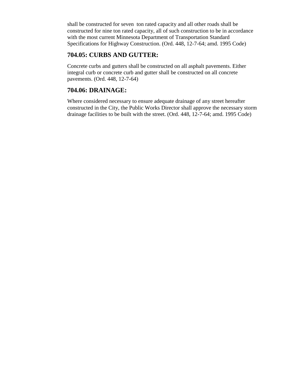shall be constructed for seven ton rated capacity and all other roads shall be constructed for nine ton rated capacity, all of such construction to be in accordance with the most current Minnesota Department of Transportation Standard Specifications for Highway Construction. (Ord. 448, 12-7-64; amd. 1995 Code)

### **704.05: CURBS AND GUTTER:**

Concrete curbs and gutters shall be constructed on all asphalt pavements. Either integral curb or concrete curb and gutter shall be constructed on all concrete pavements. (Ord. 448, 12-7-64)

### **704.06: DRAINAGE:**

Where considered necessary to ensure adequate drainage of any street hereafter constructed in the City, the Public Works Director shall approve the necessary storm drainage facilities to be built with the street. (Ord. 448, 12-7-64; amd. 1995 Code)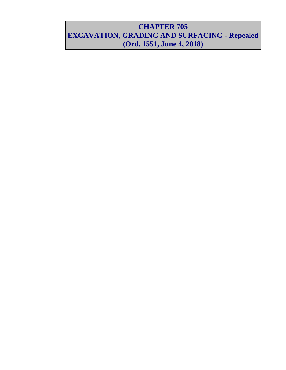## **CHAPTER 705 EXCAVATION, GRADING AND SURFACING - Repealed (Ord. 1551, June 4, 2018)**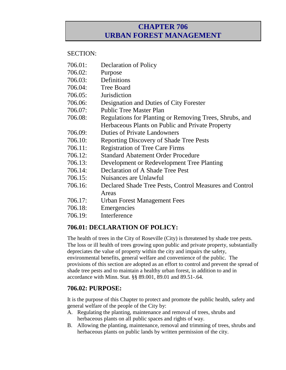### **CHAPTER 706 URBAN FOREST MANAGEMENT**

#### SECTION:

- 706.01: Declaration of Policy
- 706.02: Purpose
- 706.03: Definitions
- 706.04: Tree Board
- 706.05: Jurisdiction
- 706.06: Designation and Duties of City Forester
- 706.07: Public Tree Master Plan
- 706.08: Regulations for Planting or Removing Trees, Shrubs, and Herbaceous Plants on Public and Private Property
- 706.09: Duties of Private Landowners
- 706.10: Reporting Discovery of Shade Tree Pests
- 706.11: Registration of Tree Care Firms
- 706.12: Standard Abatement Order Procedure
- 706.13: Development or Redevelopment Tree Planting
- 706.14: Declaration of A Shade Tree Pest
- 706.15: Nuisances are Unlawful
- 706.16: Declared Shade Tree Pests, Control Measures and Control Areas
- 706.17: Urban Forest Management Fees
- 706.18: Emergencies
- 706.19: Interference

### **706.01: DECLARATION OF POLICY:**

The health of trees in the City of Roseville (City) is threatened by shade tree pests. The loss or ill health of trees growing upon public and private property, substantially depreciates the value of property within the city and impairs the safety, environmental benefits, general welfare and convenience of the public. The provisions of this section are adopted as an effort to control and prevent the spread of shade tree pests and to maintain a healthy urban forest, in addition to and in accordance with Minn. Stat. §§ 89.001, 89.01 and 89.51-.64.

### **706.02: PURPOSE:**

It is the purpose of this Chapter to protect and promote the public health, safety and general welfare of the people of the City by:

- A. Regulating the planting, maintenance and removal of trees, shrubs and herbaceous plants on all public spaces and rights of way.
- B. Allowing the planting, maintenance, removal and trimming of trees, shrubs and herbaceous plants on public lands by written permission of the city.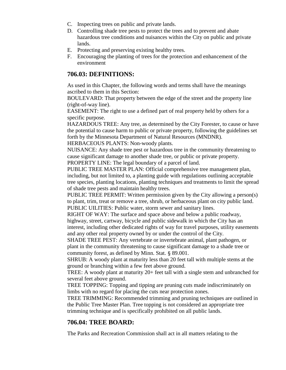- C. Inspecting trees on public and private lands.
- D. Controlling shade tree pests to protect the trees and to prevent and abate hazardous tree conditions and nuisances within the City on public and private lands.
- E. Protecting and preserving existing healthy trees.
- F. Encouraging the planting of trees for the protection and enhancement of the environment

#### **706.03: DEFINITIONS:**

As used in this Chapter, the following words and terms shall have the meanings ascribed to them in this Section:

BOULEVARD: That property between the edge of the street and the property line (right-of-way line).

EASEMENT: The right to use a defined part of real property held by others for a specific purpose.

HAZARDOUS TREE: Any tree, as determined by the City Forester, to cause or have the potential to cause harm to public or private property, following the guidelines set forth by the Minnesota Department of Natural Resources (MNDNR). HERBACEOUS PLANTS: Non-woody plants.

NUISANCE: Any shade tree pest or hazardous tree in the community threatening to cause significant damage to another shade tree, or public or private property. PROPERTY LINE: The legal boundary of a parcel of land.

PUBLIC TREE MASTER PLAN: Official comprehensive tree management plan, including, but not limited to, a planting guide with regulations outlining acceptable tree species, planting locations, planting techniques and treatments to limit the spread of shade tree pests and maintain healthy trees.

PUBLIC TREE PERMIT: Written permission given by the City allowing a person(s) to plant, trim, treat or remove a tree, shrub, or herbaceous plant on city public land. PUBLIC UILITIES: Public water, storm sewer and sanitary lines.

RIGHT OF WAY: The surface and space above and below a public roadway, highway, street, cartway, bicycle and public sidewalk in which the City has an interest, including other dedicated rights of way for travel purposes, utility easements and any other real property owned by or under the control of the City.

SHADE TREE PEST: Any vertebrate or invertebrate animal, plant pathogen, or plant in the community threatening to cause significant damage to a shade tree or community forest, as defined by Minn. Stat. § 89.001.

SHRUB: A woody plant at maturity less than 20 feet tall with multiple stems at the ground or branching within a few feet above ground.

TREE: A woody plant at maturity 20+ feet tall with a single stem and unbranched for several feet above ground.

TREE TOPPING: Topping and tipping are pruning cuts made indiscriminately on limbs with no regard for placing the cuts near protection zones.

TREE TRIMMING: Recommended trimming and pruning techniques are outlined in the Public Tree Master Plan. Tree topping is not considered an appropriate tree trimming technique and is specifically prohibited on all public lands.

### **706.04: TREE BOARD:**

The Parks and Recreation Commission shall act in all matters relating to the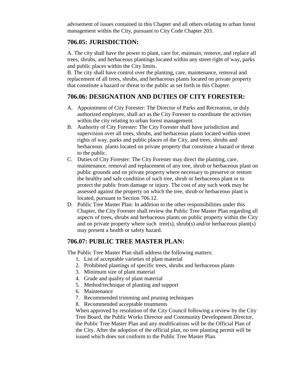advisement of issues contained in this Chapter and all others relating to urban forest management within the City, pursuant to City Code Chapter 203.

### **706.05: JURISDICTION:**

A. The city shall have the power to plant, care for, maintain, remove, and replace all trees, shrubs, and herbaceous plantings located within any street right of way, parks and public places within the City limits.

B. The city shall have control over the planting, care, maintenance, removal and replacement of all trees, shrubs, and herbaceous plants located on private property that constitute a hazard or threat to the public as set forth in this Chapter.

### **706.06: DESIGNATION AND DUTIES OF CITY FORESTER:**

- A. Appointment of City Forester: The Director of Parks and Recreation, or duly authorized employee, shall act as the City Forester to coordinate the activities within the city relating to urban forest management.
- B. Authority of City Forester: The City Forester shall have jurisdiction and supervision over all trees, shrubs, and herbaceous plants located within street rights of way, parks and public places of the City, and trees, shrubs and herbaceous plants located on private property that constitute a hazard or threat to the public.
- C. Duties of City Forester: The City Forester may direct the planting, care, maintenance, removal and replacement of any tree, shrub or herbaceous plant on public grounds and on private property where necessary to preserve or restore the healthy and safe condition of such tree, shrub or herbaceous plant or to protect the public from damage or injury. The cost of any such work may be assessed against the property on which the tree, shrub or herbaceous plant is located, pursuant to Section 706.12.
- D. Public Tree Master Plan: In addition to the other responsibilities under this Chapter, the City Forester shall review the Public Tree Master Plan regarding all aspects of trees, shrubs and herbaceous plants on public property within the City and on private property where such tree(s), shrub(s) and/or herbaceous plant(s) may present a health or safety hazard.

### **706.07: PUBLIC TREE MASTER PLAN:**

The Public Tree Master Plan shall address the following matters:

- 1. List of acceptable varieties of plant material
- 2. Prohibited plantings of specific trees, shrubs and herbaceous plants
- 3. Minimum size of plant material
- 4. Grade and quality of plant material
- 5. Method/technique of planting and support
- 6. Maintenance
- 7. Recommended trimming and pruning techniques
- 8. Recommended acceptable treatments

When approved by resolution of the City Council following a review by the City Tree Board, the Public Works Director and Community Development Director, the Public Tree Master Plan and any modifications will be the Official Plan of the City. After the adoption of the official plan, no tree planting permit will be issued which does not conform to the Public Tree Master Plan.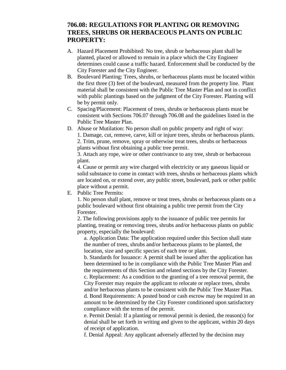### **706.08: REGULATIONS FOR PLANTING OR REMOVING TREES, SHRUBS OR HERBACEOUS PLANTS ON PUBLIC PROPERTY:**

- A. Hazard Placement Prohibited: No tree, shrub or herbaceous plant shall be planted, placed or allowed to remain in a place which the City Engineer determines could cause a traffic hazard. Enforcement shall be conducted by the City Forester and the City Engineer.
- B. Boulevard Planting: Trees, shrubs, or herbaceous plants must be located within the first three (3) feet of the boulevard, measured from the property line. Plant material shall be consistent with the Public Tree Master Plan and not in conflict with public plantings based on the judgment of the City Forester. Planting will be by permit only.
- C. Spacing/Placement: Placement of trees, shrubs or herbaceous plants must be consistent with Sections 706.07 through 706.08 and the guidelines listed in the Public Tree Master Plan.
- D. Abuse or Mutilation: No person shall on public property and right of way: 1. Damage, cut, remove, carve, kill or injure trees, shrubs or herbaceous plants. 2. Trim, prune, remove, spray or otherwise treat trees, shrubs or herbaceous plants without first obtaining a public tree permit.

3. Attach any rope, wire or other contrivance to any tree, shrub or herbaceous plant.

4. Cause or permit any wire charged with electricity or any gaseous liquid or solid substance to come in contact with trees, shrubs or herbaceous plants which are located on, or extend over, any public street, boulevard, park or other public place without a permit.

E. Public Tree Permits:

1. No person shall plant, remove or treat trees, shrubs or herbaceous plants on a public boulevard without first obtaining a public tree permit from the City Forester.

2. The following provisions apply to the issuance of public tree permits for planting, treating or removing trees, shrubs and/or herbaceous plants on public property, especially the boulevard:

a. Application Data: The application required under this Section shall state the number of trees, shrubs and/or herbaceous plants to be planted, the location, size and specific species of each tree or plant.

b. Standards for Issuance: A permit shall be issued after the application has been determined to be in compliance with the Public Tree Master Plan and the requirements of this Section and related sections by the City Forester.

c. Replacement: As a condition to the granting of a tree removal permit, the City Forester may require the applicant to relocate or replace trees, shrubs and/or herbaceous plants to be consistent with the Public Tree Master Plan.

d. Bond Requirements: A posted bond or cash escrow may be required in an amount to be determined by the City Forester conditioned upon satisfactory compliance with the terms of the permit.

e. Permit Denial: If a planting or removal permit is denied, the reason(s) for denial shall be set forth in writing and given to the applicant, within 20 days of receipt of application.

f. Denial Appeal: Any applicant adversely affected by the decision may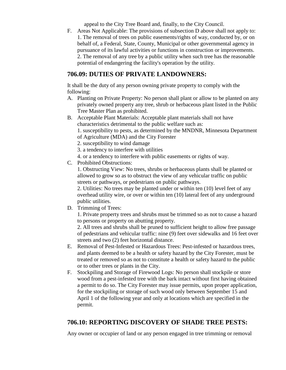appeal to the City Tree Board and, finally, to the City Council.

F. Areas Not Applicable: The provisions of subsection D above shall not apply to: 1. The removal of trees on public easements/rights of way, conducted by, or on behalf of, a Federal, State, County, Municipal or other governmental agency in pursuance of its lawful activities or functions in construction or improvements. 2. The removal of any tree by a public utility when such tree has the reasonable potential of endangering the facility's operation by the utility.

### **706.09: DUTIES OF PRIVATE LANDOWNERS:**

It shall be the duty of any person owning private property to comply with the following:

- A. Planting on Private Property: No person shall plant or allow to be planted on any privately owned property any tree, shrub or herbaceous plant listed in the Public Tree Master Plan as prohibited.
- B. Acceptable Plant Materials: Acceptable plant materials shall not have characteristics detrimental to the public welfare such as:

1. susceptibility to pests, as determined by the MNDNR, Minnesota Department of Agriculture (MDA) and the City Forester

- 2. susceptibility to wind damage
- 3. a tendency to interfere with utilities
- 4. or a tendency to interfere with public easements or rights of way.
- C. Prohibited Obstructions:

1. Obstructing View: No trees, shrubs or herbaceous plants shall be planted or allowed to grow so as to obstruct the view of any vehicular traffic on public streets or pathways, or pedestrians on public pathways.

2. Utilities: No trees may be planted under or within ten (10) level feet of any overhead utility wire, or over or within ten (10) lateral feet of any underground public utilities.

D. Trimming of Trees:

1. Private property trees and shrubs must be trimmed so as not to cause a hazard to persons or property on abutting property.

2. All trees and shrubs shall be pruned to sufficient height to allow free passage of pedestrians and vehicular traffic: nine (9) feet over sidewalks and 16 feet over streets and two (2) feet horizontal distance.

- E. Removal of Pest-Infested or Hazardous Trees: Pest-infested or hazardous trees, and plants deemed to be a health or safety hazard by the City Forester, must be treated or removed so as not to constitute a health or safety hazard to the public or to other trees or plants in the City.
- F. Stockpiling and Storage of Firewood Logs: No person shall stockpile or store wood from a pest-infested tree with the bark intact without first having obtained a permit to do so. The City Forester may issue permits, upon proper application, for the stockpiling or storage of such wood only between September 15 and April 1 of the following year and only at locations which are specified in the permit.

### **706.10: REPORTING DISCOVERY OF SHADE TREE PESTS:**

Any owner or occupier of land or any person engaged in tree trimming or removal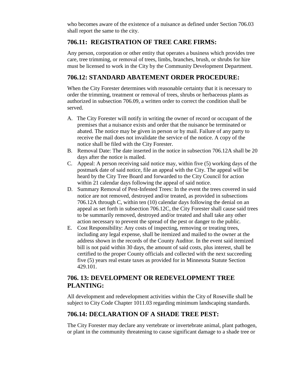who becomes aware of the existence of a nuisance as defined under Section 706.03 shall report the same to the city.

### **706.11: REGISTRATION OF TREE CARE FIRMS:**

Any person, corporation or other entity that operates a business which provides tree care, tree trimming, or removal of trees, limbs, branches, brush, or shrubs for hire must be licensed to work in the City by the Community Development Department.

### **706.12: STANDARD ABATEMENT ORDER PROCEDURE:**

When the City Forester determines with reasonable certainty that it is necessary to order the trimming, treatment or removal of trees, shrubs or herbaceous plants as authorized in subsection 706.09, a written order to correct the condition shall be served.

- A. The City Forester will notify in writing the owner of record or occupant of the premises that a nuisance exists and order that the nuisance be terminated or abated. The notice may be given in person or by mail. Failure of any party to receive the mail does not invalidate the service of the notice. A copy of the notice shall be filed with the City Forester.
- B. Removal Date: The date inserted in the notice in subsection 706.12A shall be 20 days after the notice is mailed.
- C. Appeal: A person receiving said notice may, within five (5) working days of the postmark date of said notice, file an appeal with the City. The appeal will be heard by the City Tree Board and forwarded to the City Council for action within 21 calendar days following the appeal of said notice.
- D. Summary Removal of Pest-Infested Trees: In the event the trees covered in said notice are not removed, destroyed and/or treated, as provided in subsections 706.12A through C, within ten (10) calendar days following the denial on an appeal as set forth in subsection 706.12C, the City Forester shall cause said trees to be summarily removed, destroyed and/or treated and shall take any other action necessary to prevent the spread of the pest or danger to the public.
- E. Cost Responsibility: Any costs of inspecting, removing or treating trees, including any legal expense, shall be itemized and mailed to the owner at the address shown in the records of the County Auditor. In the event said itemized bill is not paid within 30 days, the amount of said costs, plus interest, shall be certified to the proper County officials and collected with the next succeeding five (5) years real estate taxes as provided for in Minnesota Statute Section 429.101.

### **706. 13: DEVELOPMENT OR REDEVELOPMENT TREE PLANTING:**

All development and redevelopment activities within the City of Roseville shall be subject to City Code Chapter 1011.03 regarding minimum landscaping standards.

### **706.14: DECLARATION OF A SHADE TREE PEST:**

The City Forester may declare any vertebrate or invertebrate animal, plant pathogen, or plant in the community threatening to cause significant damage to a shade tree or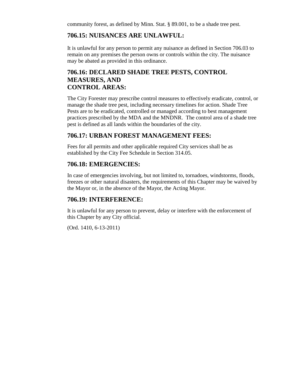community forest, as defined by Minn. Stat. § 89.001, to be a shade tree pest.

### **706.15: NUISANCES ARE UNLAWFUL:**

It is unlawful for any person to permit any nuisance as defined in Section 706.03 to remain on any premises the person owns or controls within the city. The nuisance may be abated as provided in this ordinance.

### **706.16: DECLARED SHADE TREE PESTS, CONTROL MEASURES, AND CONTROL AREAS:**

The City Forester may prescribe control measures to effectively eradicate, control, or manage the shade tree pest, including necessary timelines for action. Shade Tree Pests are to be eradicated, controlled or managed according to best management practices prescribed by the MDA and the MNDNR. The control area of a shade tree pest is defined as all lands within the boundaries of the city.

### **706.17: URBAN FOREST MANAGEMENT FEES:**

Fees for all permits and other applicable required City services shall be as established by the City Fee Schedule in Section 314.05.

### **706.18: EMERGENCIES:**

In case of emergencies involving, but not limited to, tornadoes, windstorms, floods, freezes or other natural disasters, the requirements of this Chapter may be waived by the Mayor or, in the absence of the Mayor, the Acting Mayor.

### **706.19: INTERFERENCE:**

It is unlawful for any person to prevent, delay or interfere with the enforcement of this Chapter by any City official.

(Ord. 1410, 6-13-2011)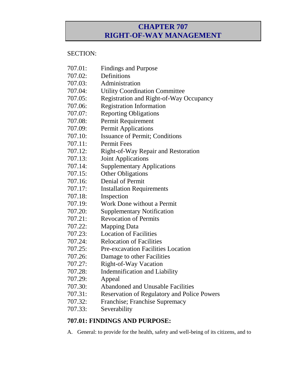### **CHAPTER 707 RIGHT-OF-WAY MANAGEMENT**

#### SECTION:

- 707.01: Findings and Purpose
- 707.02: Definitions
- 707.03: Administration
- 707.04: Utility Coordination Committee
- 707.05: Registration and Right-of-Way Occupancy
- 707.06: Registration Information
- 707.07: Reporting Obligations
- 707.08: Permit Requirement
- 707.09: Permit Applications
- 707.10: Issuance of Permit; Conditions
- 707.11: Permit Fees
- 707.12: Right-of-Way Repair and Restoration
- 707.13: Joint Applications
- 707.14: Supplementary Applications
- 707.15: Other Obligations
- 707.16: Denial of Permit
- 707.17: Installation Requirements
- 707.18: Inspection
- 707.19: Work Done without a Permit
- 707.20: Supplementary Notification
- 707.21: Revocation of Permits
- 707.22: Mapping Data
- 707.23: Location of Facilities
- 707.24: Relocation of Facilities
- 707.25: Pre-excavation Facilities Location
- 707.26: Damage to other Facilities
- 707.27: Right-of-Way Vacation
- 707.28: Indemnification and Liability
- 707.29: Appeal
- 707.30: Abandoned and Unusable Facilities
- 707.31: Reservation of Regulatory and Police Powers
- 707.32: Franchise; Franchise Supremacy
- 707.33: Severability

### **707.01: FINDINGS AND PURPOSE:**

A. General: to provide for the health, safety and well-being of its citizens, and to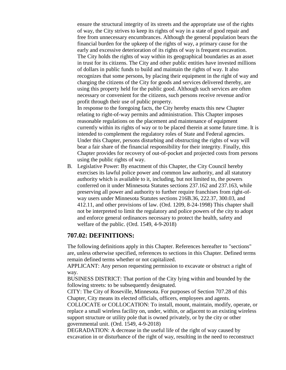ensure the structural integrity of its streets and the appropriate use of the rights of way, the City strives to keep its rights of way in a state of good repair and free from unnecessary encumbrances. Although the general population bears the financial burden for the upkeep of the rights of way, a primary cause for the early and excessive deterioration of its rights of way is frequent excavation. The City holds the rights of way within its geographical boundaries as an asset in trust for its citizens. The City and other public entities have invested millions of dollars in public funds to build and maintain the rights of way. It also recognizes that some persons, by placing their equipment in the right of way and charging the citizens of the City for goods and services delivered thereby, are using this property held for the public good. Although such services are often necessary or convenient for the citizens, such persons receive revenue and/or profit through their use of public property.

In response to the foregoing facts, the City hereby enacts this new Chapter relating to right-of-way permits and administration. This Chapter imposes reasonable regulations on the placement and maintenance of equipment currently within its rights of way or to be placed therein at some future time. It is intended to complement the regulatory roles of State and Federal agencies. Under this Chapter, persons disturbing and obstructing the rights of way will bear a fair share of the financial responsibility for their integrity. Finally, this Chapter provides for recovery of out-of-pocket and projected costs from persons using the public rights of way.

B. Legislative Power: By enactment of this Chapter, the City Council hereby exercises its lawful police power and common law authority, and all statutory authority which is available to it, including, but not limited to, the powers conferred on it under Minnesota Statutes sections 237.162 and 237.163, while preserving all power and authority to further require franchises from right-ofway users under Minnesota Statutes sections 216B.36, 222.37, 300.03, and 412.11, and other provisions of law. (Ord. 1209, 8-24-1998) This chapter shall not be interpreted to limit the regulatory and police powers of the city to adopt and enforce general ordinances necessary to protect the health, safety and welfare of the public. (Ord. 1549, 4-9-2018)

#### **707.02: DEFINITIONS:**

The following definitions apply in this Chapter. References hereafter to "sections" are, unless otherwise specified, references to sections in this Chapter. Defined terms remain defined terms whether or not capitalized.

APPLICANT: Any person requesting permission to excavate or obstruct a right of way.

BUSINESS DISTRICT: That portion of the City lying within and bounded by the following streets: to be subsequently designated.

CITY: The City of Roseville, Minnesota. For purposes of Section 707.28 of this Chapter, City means its elected officials, officers, employees and agents.

COLLOCATE or COLLOCATION: To install, mount, maintain, modify, operate, or replace a small wireless facility on, under, within, or adjacent to an existing wireless support structure or utility pole that is owned privately, or by the city or other governmental unit. (Ord. 1549, 4-9-2018)

DEGRADATION: A decrease in the useful life of the right of way caused by excavation in or disturbance of the right of way, resulting in the need to reconstruct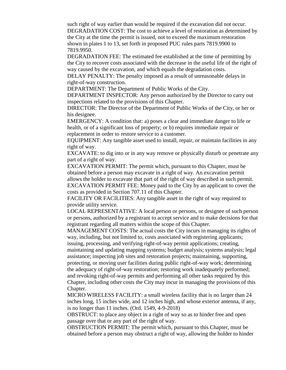such right of way earlier than would be required if the excavation did not occur. DEGRADATION COST: The cost to achieve a level of restoration as determined by the City at the time the permit is issued, not to exceed the maximum restoration shown in plates 1 to 13, set forth in proposed PUC rules parts 7819.9900 to 7819.9950.

DEGRADATION FEE: The estimated fee established at the time of permitting by the City to recover costs associated with the decrease in the useful life of the right of way caused by the excavation, and which equals the degradation costs.

DELAY PENALTY: The penalty imposed as a result of unreasonable delays in right-of-way construction.

DEPARTMENT: The Department of Public Works of the City.

DEPARTMENT INSPECTOR: Any person authorized by the Director to carry out inspections related to the provisions of this Chapter.

DIRECTOR: The Director of the Department of Public Works of the City, or her or his designee.

EMERGENCY: A condition that: a) poses a clear and immediate danger to life or health, or of a significant loss of property; or b) requires immediate repair or replacement in order to restore service to a customer.

EQUIPMENT: Any tangible asset used to install, repair, or maintain facilities in any right of way.

EXCAVATE: to dig into or in any way remove or physically disturb or penetrate any part of a right of way.

EXCAVATION PERMIT: The permit which, pursuant to this Chapter, must be obtained before a person may excavate in a right of way. An excavation permit allows the holder to excavate that part of the right of way described in such permit. EXCAVATION PERMIT FEE: Money paid to the City by an applicant to cover the costs as provided in Section 707.11 of this Chapter.

FACILITY OR FACILITIES: Any tangible asset in the right of way required to provide utility service.

LOCAL REPRESENTATIVE: A local person or persons, or designee of such person or persons, authorized by a registrant to accept service and to make decisions for that registrant regarding all matters within the scope of this Chapter.

MANAGEMENT COSTS: The actual costs the City incurs in managing its rights of way, including, but not limited to, costs associated with registering applicants; issuing, processing, and verifying right-of-way permit applications; creating,

maintaining and updating mapping systems; budget analysis; systems analysis; legal assistance; inspecting job sites and restoration projects; maintaining, supporting, protecting, or moving user facilities during public right-of-way work; determining the adequacy of right-of-way restoration; restoring work inadequately performed; and revoking right-of-way permits and performing all other tasks required by this Chapter, including other costs the City may incur in managing the provisions of this Chapter.

MICRO WIRELESS FACILITY: a small wireless facility that is no larger than 24 inches long, 15 inches wide, and 12 inches high, and whose exterior antenna, if any, is no longer than 11 inches. (Ord. 1549, 4-9-2018)

OBSTRUCT: to place any object in a right of way so as to hinder free and open passage over that or any part of the right of way.

OBSTRUCTION PERMIT: The permit which, pursuant to this Chapter, must be obtained before a person may obstruct a right of way, allowing the holder to hinder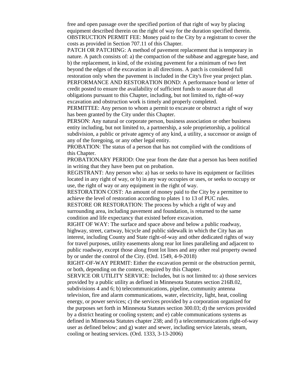free and open passage over the specified portion of that right of way by placing equipment described therein on the right of way for the duration specified therein. OBSTRUCTION PERMIT FEE: Money paid to the City by a registrant to cover the costs as provided in Section 707.11 of this Chapter.

PATCH OR PATCHING: A method of pavement replacement that is temporary in nature. A patch consists of: a) the compaction of the subbase and aggregate base, and b) the replacement, in kind, of the existing pavement for a minimum of two feet beyond the edges of the excavation in all directions. A patch is considered full restoration only when the pavement is included in the City's five year project plan. PERFORMANCE AND RESTORATION BOND: A performance bond or letter of credit posted to ensure the availability of sufficient funds to assure that all

obligations pursuant to this Chapter, including, but not limited to, right-of-way excavation and obstruction work is timely and properly completed.

PERMITTEE: Any person to whom a permit to excavate or obstruct a right of way has been granted by the City under this Chapter.

PERSON: Any natural or corporate person, business association or other business entity including, but not limited to, a partnership, a sole proprietorship, a political subdivision, a public or private agency of any kind, a utility, a successor or assign of any of the foregoing, or any other legal entity.

PROBATION: The status of a person that has not complied with the conditions of this Chapter.

PROBATIONARY PERIOD: One year from the date that a person has been notified in writing that they have been put on probation.

REGISTRANT: Any person who: a) has or seeks to have its equipment or facilities located in any right of way, or b) in any way occupies or uses, or seeks to occupy or use, the right of way or any equipment in the right of way.

RESTORATION COST: An amount of money paid to the City by a permittee to achieve the level of restoration according to plates 1 to 13 of PUC rules.

RESTORE OR RESTORATION: The process by which a right of way and surrounding area, including pavement and foundation, is returned to the same condition and life expectancy that existed before excavation.

RIGHT OF WAY: The surface and space above and below a public roadway, highway, street, cartway, bicycle and public sidewalk in which the City has an interest, including County and State right-of-way and other dedicated rights of way for travel purposes, utility easements along rear lot lines paralleling and adjacent to public roadway, except those along front lot lines and any other real property owned by or under the control of the City. (Ord. 1549, 4-9-2018)

RIGHT-OF-WAY PERMIT: Either the excavation permit or the obstruction permit, or both, depending on the context, required by this Chapter.

SERVICE OR UTILITY SERVICE: Includes, but is not limited to: a) those services provided by a public utility as defined in Minnesota Statutes section 216B.02,

subdivisions 4 and 6; b) telecommunications, pipeline, community antenna television, fire and alarm communications, water, electricity, light, heat, cooling energy, or power services; c) the services provided by a corporation organized for the purposes set forth in Minnesota Statutes section 300.03; d) the services provided by a district heating or cooling system; and e) cable communications systems as defined in Minnesota Statutes chapter 238; and f) a telecommunications right-of-way user as defined below; and g) water and sewer, including service laterals, steam, cooling or heating services. (Ord. 1333, 3-13-2006)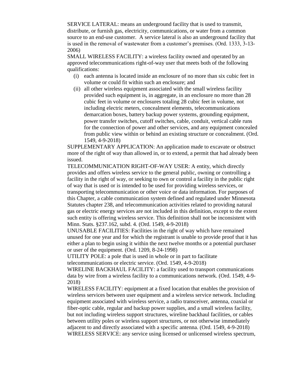SERVICE LATERAL: means an underground facility that is used to transmit, distribute, or furnish gas, electricity, communications, or water from a common source to an end-use customer. A service lateral is also an underground facility that is used in the removal of wastewater from a customer's premises. (Ord. 1333, 3-13- 2006)

SMALL WIRELESS FACILITY: a wireless facility owned and operated by an approved telecommunications right-of-way user that meets both of the following qualifications:

- (i) each antenna is located inside an enclosure of no more than six cubic feet in volume or could fit within such an enclosure; and
- (ii) all other wireless equipment associated with the small wireless facility provided such equipment is, in aggregate, in an enclosure no more than 28 cubic feet in volume or enclosures totaling 28 cubic feet in volume, not including electric meters, concealment elements, telecommunications demarcation boxes, battery backup power systems, grounding equipment, power transfer switches, cutoff switches, cable, conduit, vertical cable runs for the connection of power and other services, and any equipment concealed from public view within or behind an existing structure or concealment. (Ord. 1549, 4-9-2018)

SUPPLEMENTARY APPLICATION: An application made to excavate or obstruct more of the right of way than allowed in, or to extend, a permit that had already been issued.

TELECOMMUNICATION RIGHT-OF-WAY USER: A entity, which directly provides and offers wireless service to the general public, owning or controlling a facility in the right of way, or seeking to own or control a facility in the public right of way that is used or is intended to be used for providing wireless services, or transporting telecommunication or other voice or data information. For purposes of this Chapter, a cable communication system defined and regulated under Minnesota Statutes chapter 238, and telecommunication activities related to providing natural gas or electric energy services are not included in this definition, except to the extent such entity is offering wireless service. This definition shall not be inconsistent with Minn. Stats. §237.162, subd. 4. (Ord. 1549, 4-9-2018)

UNUSABLE FACILITIES: Facilities in the right of way which have remained unused for one year and for which the registrant is unable to provide proof that it has either a plan to begin using it within the next twelve months or a potential purchaser or user of the equipment. (Ord. 1209, 8-24-1998)

UTILITY POLE: a pole that is used in whole or in part to facilitate telecommunications or electric service. (Ord. 1549, 4-9-2018)

WIRELINE BACKHAUL FACILITY: a facility used to transport communications data by wire from a wireless facility to a communications network. (Ord. 1549, 4-9- 2018)

WIRELESS FACILITY: equipment at a fixed location that enables the provision of wireless services between user equipment and a wireless service network. Including equipment associated with wireless service, a radio transceiver, antenna, coaxial or fiber-optic cable, regular and backup power supplies, and a small wireless facility, but not including wireless support structures, wireline backhaul facilities, or cables between utility poles or wireless support structures, or not otherwise immediately adjacent to and directly associated with a specific antenna. (Ord. 1549, 4-9-2018) WIRELESS SERVICE: any service using licensed or unlicensed wireless spectrum,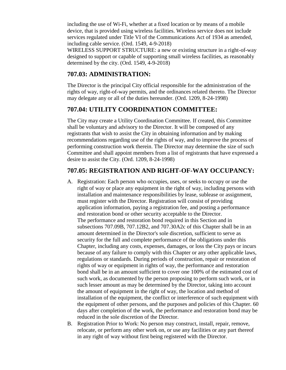including the use of Wi-Fi, whether at a fixed location or by means of a mobile device, that is provided using wireless facilities. Wireless service does not include services regulated under Title VI of the Communications Act of 1934 as amended, including cable service. (Ord. 1549, 4-9-2018)

WIRELESS SUPPORT STRUCTURE: a new or existing structure in a right-of-way designed to support or capable of supporting small wireless facilities, as reasonably determined by the city. (Ord. 1549, 4-9-2018)

### **707.03: ADMINISTRATION:**

The Director is the principal City official responsible for the administration of the rights of way, right-of-way permits, and the ordinances related thereto. The Director may delegate any or all of the duties hereunder. (Ord. 1209, 8-24-1998)

### **707.04: UTILITY COORDINATION COMMITTEE:**

The City may create a Utility Coordination Committee. If created, this Committee shall be voluntary and advisory to the Director. It will be composed of any registrants that wish to assist the City in obtaining information and by making recommendations regarding use of the rights of way, and to improve the process of performing construction work therein. The Director may determine the size of such Committee and shall appoint members from a list of registrants that have expressed a desire to assist the City. (Ord. 1209, 8-24-1998)

### **707.05: REGISTRATION AND RIGHT-OF-WAY OCCUPANCY:**

- A. Registration: Each person who occupies, uses, or seeks to occupy or use the right of way or place any equipment in the right of way, including persons with installation and maintenance responsibilities by lease, sublease or assignment, must register with the Director. Registration will consist of providing application information, paying a registration fee, and posting a performance and restoration bond or other security acceptable to the Director. The performance and restoration bond required in this Section and in subsections 707.09B, 707.12B2, and 707.30A2c of this Chapter shall be in an amount determined in the Director's sole discretion, sufficient to serve as security for the full and complete performance of the obligations under this Chapter, including any costs, expenses, damages, or loss the City pays or incurs because of any failure to comply with this Chapter or any other applicable laws, regulations or standards. During periods of construction, repair or restoration of rights of way or equipment in rights of way, the performance and restoration bond shall be in an amount sufficient to cover one 100% of the estimated cost of such work, as documented by the person proposing to perform such work, or in such lesser amount as may be determined by the Director, taking into account the amount of equipment in the right of way, the location and method of installation of the equipment, the conflict or interference of such equipment with the equipment of other persons, and the purposes and policies of this Chapter. 60 days after completion of the work, the performance and restoration bond may be reduced in the sole discretion of the Director.
- B. Registration Prior to Work: No person may construct, install, repair, remove, relocate, or perform any other work on, or use any facilities or any part thereof in any right of way without first being registered with the Director.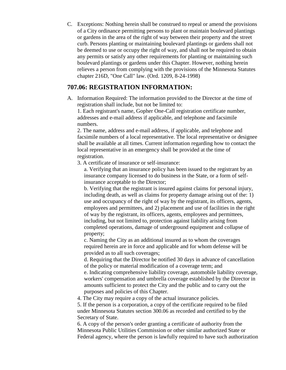C. Exceptions: Nothing herein shall be construed to repeal or amend the provisions of a City ordinance permitting persons to plant or maintain boulevard plantings or gardens in the area of the right of way between their property and the street curb. Persons planting or maintaining boulevard plantings or gardens shall not be deemed to use or occupy the right of way, and shall not be required to obtain any permits or satisfy any other requirements for planting or maintaining such boulevard plantings or gardens under this Chapter. However, nothing herein relieves a person from complying with the provisions of the Minnesota Statutes chapter 216D, "One Call" law. (Ord. 1209, 8-24-1998)

### **707.06: REGISTRATION INFORMATION:**

A. Information Required: The information provided to the Director at the time of registration shall include, but not be limited to:

1. Each registrant's name, Gopher One-Call registration certificate number, addresses and e-mail address if applicable, and telephone and facsimile numbers.

2. The name, address and e-mail address, if applicable, and telephone and facsimile numbers of a local representative. The local representative or designee shall be available at all times. Current information regarding how to contact the local representative in an emergency shall be provided at the time of registration.

3. A certificate of insurance or self-insurance:

a. Verifying that an insurance policy has been issued to the registrant by an insurance company licensed to do business in the State, or a form of selfinsurance acceptable to the Director;

b. Verifying that the registrant is insured against claims for personal injury, including death, as well as claims for property damage arising out of the: 1) use and occupancy of the right of way by the registrant, its officers, agents, employees and permittees, and 2) placement and use of facilities in the right of way by the registrant, its officers, agents, employees and permittees, including, but not limited to, protection against liability arising from completed operations, damage of underground equipment and collapse of property;

c. Naming the City as an additional insured as to whom the coverages required herein are in force and applicable and for whom defense will be provided as to all such coverages;

d. Requiring that the Director be notified 30 days in advance of cancellation of the policy or material modification of a coverage term; and

e. Indicating comprehensive liability coverage, automobile liability coverage, workers' compensation and umbrella coverage established by the Director in amounts sufficient to protect the City and the public and to carry out the purposes and policies of this Chapter.

4. The City may require a copy of the actual insurance policies.

5. If the person is a corporation, a copy of the certificate required to be filed under Minnesota Statutes section 300.06 as recorded and certified to by the Secretary of State.

6. A copy of the person's order granting a certificate of authority from the Minnesota Public Utilities Commission or other similar authorized State or Federal agency, where the person is lawfully required to have such authorization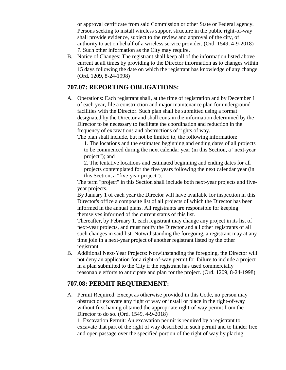or approval certificate from said Commission or other State or Federal agency. Persons seeking to install wireless support structure in the public right-of-way shall provide evidence, subject to the review and approval of the city, of authority to act on behalf of a wireless service provider. (Ord. 1549, 4-9-2018) 7. Such other information as the City may require.

B. Notice of Changes: The registrant shall keep all of the information listed above current at all times by providing to the Director information as to changes within 15 days following the date on which the registrant has knowledge of any change. (Ord. 1209, 8-24-1998)

### **707.07: REPORTING OBLIGATIONS:**

A. Operations: Each registrant shall, at the time of registration and by December 1 of each year, file a construction and major maintenance plan for underground facilities with the Director. Such plan shall be submitted using a format designated by the Director and shall contain the information determined by the Director to be necessary to facilitate the coordination and reduction in the frequency of excavations and obstructions of rights of way.

The plan shall include, but not be limited to, the following information: 1. The locations and the estimated beginning and ending dates of all projects to be commenced during the next calendar year (in this Section, a "next-year project"); and

2. The tentative locations and estimated beginning and ending dates for all projects contemplated for the five years following the next calendar year (in this Section, a "five-year project").

The term "project" in this Section shall include both next-year projects and fiveyear projects.

By January 1 of each year the Director will have available for inspection in this Director's office a composite list of all projects of which the Director has been informed in the annual plans. All registrants are responsible for keeping themselves informed of the current status of this list.

Thereafter, by February 1, each registrant may change any project in its list of next-year projects, and must notify the Director and all other registrants of all such changes in said list. Notwithstanding the foregoing, a registrant may at any time join in a next-year project of another registrant listed by the other registrant.

B. Additional Next-Year Projects: Notwithstanding the foregoing, the Director will not deny an application for a right-of-way permit for failure to include a project in a plan submitted to the City if the registrant has used commercially reasonable efforts to anticipate and plan for the project. (Ord. 1209, 8-24-1998)

### **707.08: PERMIT REQUIREMENT:**

A. Permit Required: Except as otherwise provided in this Code, no person may obstruct or excavate any right of way or install or place in the right-of-way without first having obtained the appropriate right-of-way permit from the Director to do so. (Ord. 1549, 4-9-2018)

1. Excavation Permit: An excavation permit is required by a registrant to excavate that part of the right of way described in such permit and to hinder free and open passage over the specified portion of the right of way by placing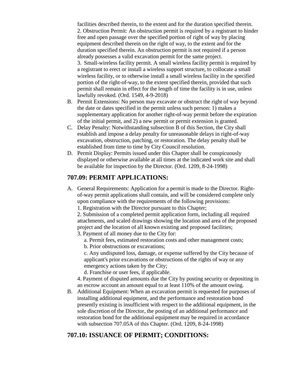facilities described therein, to the extent and for the duration specified therein. 2. Obstruction Permit: An obstruction permit is required by a registrant to hinder free and open passage over the specified portion of right of way by placing equipment described therein on the right of way, to the extent and for the duration specified therein. An obstruction permit is not required if a person already possesses a valid excavation permit for the same project. 3. Small-wireless facility permit. A small wireless facility permit is required by a registrant to erect or install a wireless support structure, to collocate a small wireless facility, or to otherwise install a small wireless facility in the specified portion of the right-of-way, to the extent specified therein, provided that such permit shall remain in effect for the length of time the facility is in use, unless lawfully revoked. (Ord. 1549, 4-9-2018)

- B. Permit Extensions: No person may excavate or obstruct the right of way beyond the date or dates specified in the permit unless such person: 1) makes a supplementary application for another right-of-way permit before the expiration of the initial permit, and 2) a new permit or permit extension is granted.
- C. Delay Penalty: Notwithstanding subsection B of this Section, the City shall establish and impose a delay penalty for unreasonable delays in right-of-way excavation, obstruction, patching, or restoration. The delay penalty shall be established from time to time by City Council resolution.
- D. Permit Display: Permits issued under this Chapter shall be conspicuously displayed or otherwise available at all times at the indicated work site and shall be available for inspection by the Director. (Ord. 1209, 8-24-1998)

#### **707.09: PERMIT APPLICATIONS:**

A. General Requirements: Application for a permit is made to the Director. Rightof-way permit applications shall contain, and will be considered complete only upon compliance with the requirements of the following provisions:

1. Registration with the Director pursuant to this Chapter;

2. Submission of a completed permit application form, including all required attachments, and scaled drawings showing the location and area of the proposed project and the location of all known existing and proposed facilities;

3. Payment of all money due to the City for:

a. Permit fees, estimated restoration costs and other management costs;

b. Prior obstructions or excavations;

c. Any undisputed loss, damage, or expense suffered by the City because of applicant's prior excavations or obstructions of the rights of way or any emergency actions taken by the City;

d. Franchise or user fees, if applicable.

4. Payment of disputed amounts due the City by posting security or depositing in an escrow account an amount equal to at least 110% of the amount owing.

B. Additional Equipment: When an excavation permit is requested for purposes of installing additional equipment, and the performance and restoration bond presently existing is insufficient with respect to the additional equipment, in the sole discretion of the Director, the posting of an additional performance and restoration bond for the additional equipment may be required in accordance with subsection 707.05A of this Chapter. (Ord. 1209, 8-24-1998)

### **707.10: ISSUANCE OF PERMIT; CONDITIONS:**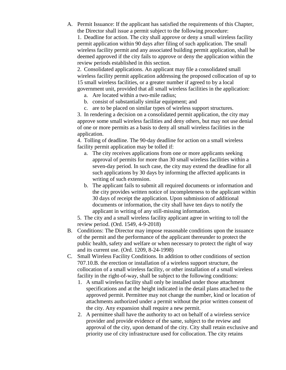A. Permit Issuance: If the applicant has satisfied the requirements of this Chapter, the Director shall issue a permit subject to the following procedure:

1. Deadline for action. The city shall approve or deny a small wireless facility permit application within 90 days after filing of such application. The small wireless facility permit and any associated building permit application, shall be deemed approved if the city fails to approve or deny the application within the review periods established in this section.

2. Consolidated applications. An applicant may file a consolidated small wireless facility permit application addressing the proposed collocation of up to 15 small wireless facilities, or a greater number if agreed to by a local government unit, provided that all small wireless facilities in the application:

- a. Are located within a two-mile radius;
- b. consist of substantially similar equipment; and
- c. are to be placed on similar types of wireless support structures.

3. In rendering a decision on a consolidated permit application, the city may approve some small wireless facilities and deny others, but may not use denial of one or more permits as a basis to deny all small wireless facilities in the application.

4. Tolling of deadline. The 90-day deadline for action on a small wireless facility permit application may be tolled if:

- a. The city receives applications from one or more applicants seeking approval of permits for more than 30 small wireless facilities within a seven-day period. In such case, the city may extend the deadline for all such applications by 30 days by informing the affected applicants in writing of such extension.
- b. The applicant fails to submit all required documents or information and the city provides written notice of incompleteness to the applicant within 30 days of receipt the application. Upon submission of additional documents or information, the city shall have ten days to notify the applicant in writing of any still-missing information.

5. The city and a small wireless facility applicant agree in writing to toll the review period. (Ord. 1549, 4-9-2018)

- B. Conditions: The Director may impose reasonable conditions upon the issuance of the permit and the performance of the applicant thereunder to protect the public health, safety and welfare or when necessary to protect the right of way and its current use. (Ord. 1209, 8-24-1998)
- C. Small Wireless Facility Conditions. In addition to other conditions of section 707.10.B. the erection or installation of a wireless support structure, the collocation of a small wireless facility, or other installation of a small wireless facility in the right-of-way, shall be subject to the following conditions:
	- 1. A small wireless facility shall only be installed under those attachment specifications and at the height indicated in the detail plans attached to the approved permit. Permittee may not change the number, kind or location of attachments authorized under a permit without the prior written consent of the city. Any expansion shall require a new permit.
	- 2. A permittee shall have the authority to act on behalf of a wireless service provider and provide evidence of the same, subject to the review and approval of the city, upon demand of the city. City shall retain exclusive and priority use of city infrastructure used for collocation. The city retains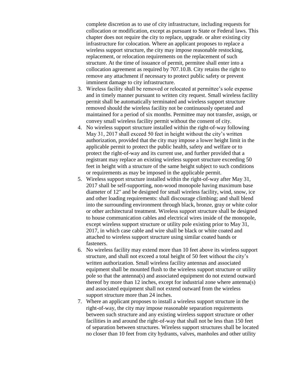complete discretion as to use of city infrastructure, including requests for collocation or modification, except as pursuant to State or Federal laws. This chapter does not require the city to replace, upgrade. or alter existing city infrastructure for colocation. Where an applicant proposes to replace a wireless support structure, the city may impose reasonable restocking, replacement, or relocation requirements on the replacement of such structure. At the time of issuance of permit, permitee shall enter into a collocation agreement as required by 707.10.B. City retains the right to remove any attachment if necessary to protect public safety or prevent imminent damage to city infrastructure.

- 3. Wireless facility shall be removed or relocated at permittee's sole expense and in timely manner pursuant to written city request. Small wireless facility permit shall be automatically terminated and wireless support structure removed should the wireless facility not be continuously operated and maintained for a period of six months. Permittee may not transfer, assign, or convey small wireless facility permit without the consent of city.
- 4. No wireless support structure installed within the right-of-way following May 31, 2017 shall exceed 50 feet in height without the city's written authorization, provided that the city may impose a lower height limit in the applicable permit to protect the public health, safety and welfare or to protect the right-of-way and its current use, and further provided that a registrant may replace an existing wireless support structure exceeding 50 feet in height with a structure of the same height subject to such conditions or requirements as may be imposed in the applicable permit.
- 5. Wireless support structure installed within the right-of-way after May 31, 2017 shall be self-supporting, non-wood monopole having maximum base diameter of 12" and be designed for small wireless facility, wind, snow, ice and other loading requirements: shall discourage climbing; and shall blend into the surrounding environment through black, bronze, gray or white color or other architectural treatment. Wireless support structure shall be designed to house communication cables and electrical wires inside of the monopole, except wireless support structure or utility pole existing prior to May 31, 2017, in which case cable and wire shall be black or white coated and attached to wireless support structure using similar coated bands or fasteners.
- 6. No wireless facility may extend more than 10 feet above its wireless support structure, and shall not exceed a total height of 50 feet without the city's written authorization. Small wireless facility antennas and associated equipment shall be mounted flush to the wireless support structure or utility pole so that the antenna(s) and associated equipment do not extend outward thereof by more than 12 inches, except for industrial zone where antenna(s) and associated equipment shall not extend outward from the wireless support structure more than 24 inches.
- 7. Where an applicant proposes to install a wireless support structure in the right-of-way, the city may impose reasonable separation requirements between such structure and any existing wireless support structure or other facilities in and around the right-of-way that shall not be less than 150 feet of separation between structures. Wireless support structures shall be located no closer than 10 feet from city hydrants, valves, manholes and other utility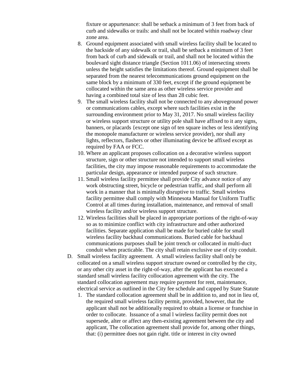fixture or appurtenance: shall be setback a minimum of 3 feet from back of curb and sidewalks or trails: and shall not be located within roadway clear zone area.

- 8. Ground equipment associated with small wireless facility shall be located to the backside of any sidewalk or trail, shall be setback a minimum of 3 feet from back of curb and sidewalk or trail, and shall not be located within the boulevard sight distance triangle (Section 1011.06) of intersecting streets unless the height satisfies the limitations thereof. Ground equipment shall be separated from the nearest telecommunications ground equipment on the same block by a minimum of 330 feet, except if the ground equipment be collocated within the same area as other wireless service provider and having a combined total size of less than 28 cubic feet.
- 9. The small wireless facility shall not be connected to any aboveground power or communications cables, except where such facilities exist in the surrounding environment prior to May 31, 2017. No small wireless facility or wireless support structure or utility pole shall have affixed to it any signs, banners, or placards {except one sign of ten square inches or less identifying the monopole manufacturer or wireless service provider), nor shall any lights, reflectors, flashers or other illuminating device be affixed except as required by FAA or FCC.
- 10. Where an applicant proposes collocation on a decorative wireless support structure, sign or other structure not intended to support small wireless facilities, the city may impose reasonable requirements to accommodate the particular design, appearance or intended purpose of such structure.
- 11. Small wireless facility permittee shall provide City advance notice of any work obstructing street, bicycle or pedestrian traffic, and shall perform all work in a manner that is minimally disruptive to traffic. Small wireless facility permittee shall comply with Minnesota Manual for Uniform Traffic Control at all times during installation, maintenance, and removal of small wireless facility and/or wireless support structure.
- 12. Wireless facilities shall be placed in appropriate portions of the right-of-way so as to minimize conflict with city infrastructure and other authorized facilities. Separate application shall be made for buried cable for small wireless facility backhaul communications. Buried cable for backhaul communications purposes shall be joint trench or collocated in multi-duct conduit when practicable. The city shall retain exclusive use of city conduit.
- D. Small wireless facility agreement. A small wireless facility shall only be collocated on a small wireless support structure owned or controlled by the city, or any other city asset in the right-of-way, after the applicant has executed a standard small wireless facility collocation agreement with the city. The standard collocation agreement may require payment for rent, maintenance, electrical service as outlined in the City fee schedule and capped by State Statute
	- 1. The standard collocation agreement shall be in addition to, and not in lieu of, the required small wireless facility permit, provided, however, that the applicant shall not be additionally required to obtain a license or franchise in order to collocate. Issuance of a smal l wireless facility permit does not supersede, alter or affect any then-existing agreement between the city and applicant, The collocation agreement shall provide for, among other things, that: (i) permittee does not gain right. title or interest in city owned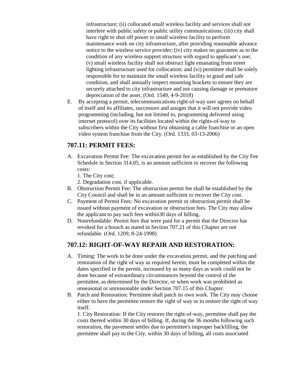infrastructure; (ii) collocated small wireless facility and services shall not interfere with public safety or public utility communications; (iii) city shall have right to shut off power to small wireless facility to perform maintenance work on city infrastructure, after providing reasonable advance notice to the wireless service provider; (iv) city makes no guarantee as to the condition of any wireless support structure with regard to applicant's use; (v) small wireless facility shall not obstruct light emanating from street lighting infrastructure used for collocation; and (vi) permittee shall be solely responsible for to maintain the small wireless facility in good and safe condition, and shall annually inspect mounting brackets to ensure they are securely attached to city infrastructure and not causing damage or premature depreciation of the asset. (Ord. 1549, 4-9-2018)

E. By accepting a permit, telecommunications right-of-way user agrees on behalf of itself and its affiliates, successors and assigns that it will not provide video programming (including, but not limited to, programming delivered using internet protocol) over its facilities located within the rights-of-way to subscribers within the City without first obtaining a cable franchise or an open video system franchise from the City. (Ord. 1333, 03-13-2006)

#### **707.11: PERMIT FEES:**

- A. Excavation Permit Fee: The excavation permit fee as established by the City Fee Schedule in Section 314.05, is an amount sufficient to recover the following costs:
	- 1. The City cost;
	- 2. Degradation cost, if applicable.
- B. Obstruction Permit Fee: The obstruction permit fee shall be established by the City Council and shall be in an amount sufficient to recover the City cost.
- C. Payment of Permit Fees: No excavation permit or obstruction permit shall be issued without payment of excavation or obstruction fees. The City may allow the applicant to pay such fees within30 days of billing.
- D. Nonrefundable: Permit fees that were paid for a permit that the Director has revoked for a breach as stated in Section 707.21 of this Chapter are not refundable. (Ord. 1209, 8-24-1998)

### **707.12: RIGHT-OF-WAY REPAIR AND RESTORATION:**

- A. Timing: The work to be done under the excavation permit, and the patching and restoration of the right of way as required herein, must be completed within the dates specified in the permit, increased by as many days as work could not be done because of extraordinary circumstances beyond the control of the permittee, as determined by the Director, or when work was prohibited as unseasonal or unreasonable under Section 707.15 of this Chapter.
- B. Patch and Restoration: Permittee shall patch its own work. The City may choose either to have the permittee restore the right of way or to restore the right of way itself.

1. City Restoration: If the City restores the right-of-way, permittee shall pay the costs thereof within 30 days of billing. If, during the 36 months following such restoration, the pavement settles due to permittee's improper backfilling, the permittee shall pay to the City, within 30 days of billing, all costs associated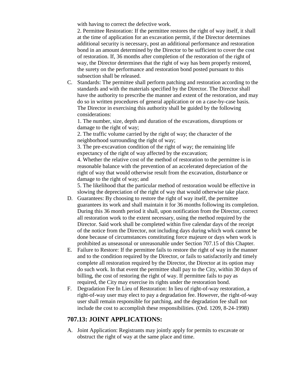with having to correct the defective work.

2. Permittee Restoration: If the permittee restores the right of way itself, it shall at the time of application for an excavation permit, if the Director determines additional security is necessary, post an additional performance and restoration bond in an amount determined by the Director to be sufficient to cover the cost of restoration. If, 36 months after completion of the restoration of the right of way, the Director determines that the right of way has been properly restored, the surety on the performance and restoration bond posted pursuant to this subsection shall be released.

C. Standards: The permittee shall perform patching and restoration according to the standards and with the materials specified by the Director. The Director shall have the authority to prescribe the manner and extent of the restoration, and may do so in written procedures of general application or on a case-by-case basis. The Director in exercising this authority shall be guided by the following considerations:

1. The number, size, depth and duration of the excavations, disruptions or damage to the right of way;

2. The traffic volume carried by the right of way; the character of the neighborhood surrounding the right of way;

3. The pre-excavation condition of the right of way; the remaining life expectancy of the right of way affected by the excavation;

4. Whether the relative cost of the method of restoration to the permittee is in reasonable balance with the prevention of an accelerated depreciation of the right of way that would otherwise result from the excavation, disturbance or damage to the right of way; and

5. The likelihood that the particular method of restoration would be effective in slowing the depreciation of the right of way that would otherwise take place.

- D. Guarantees: By choosing to restore the right of way itself, the permittee guarantees its work and shall maintain it for 36 months following its completion. During this 36 month period it shall, upon notification from the Director, correct all restoration work to the extent necessary, using the method required by the Director. Said work shall be completed within five calendar days of the receipt of the notice from the Director, not including days during which work cannot be done because of circumstances constituting force majeure or days when work is prohibited as unseasonal or unreasonable under Section 707.15 of this Chapter.
- E. Failure to Restore: If the permittee fails to restore the right of way in the manner and to the condition required by the Director, or fails to satisfactorily and timely complete all restoration required by the Director, the Director at its option may do such work. In that event the permittee shall pay to the City, within 30 days of billing, the cost of restoring the right of way. If permittee fails to pay as required, the City may exercise its rights under the restoration bond.
- F. Degradation Fee In Lieu of Restoration: In lieu of right-of-way restoration, a right-of-way user may elect to pay a degradation fee. However, the right-of-way user shall remain responsible for patching, and the degradation fee shall not include the cost to accomplish these responsibilities. (Ord. 1209, 8-24-1998)

### **707.13: JOINT APPLICATIONS:**

A. Joint Application: Registrants may jointly apply for permits to excavate or obstruct the right of way at the same place and time.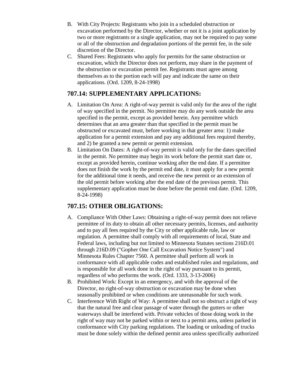- B. With City Projects: Registrants who join in a scheduled obstruction or excavation performed by the Director, whether or not it is a joint application by two or more registrants or a single application, may not be required to pay some or all of the obstruction and degradation portions of the permit fee, in the sole discretion of the Director.
- C. Shared Fees: Registrants who apply for permits for the same obstruction or excavation, which the Director does not perform, may share in the payment of the obstruction or excavation permit fee. Registrants must agree among themselves as to the portion each will pay and indicate the same on their applications. (Ord. 1209, 8-24-1998)

### **707.14: SUPPLEMENTARY APPLICATIONS:**

- A. Limitation On Area: A right-of-way permit is valid only for the area of the right of way specified in the permit. No permittee may do any work outside the area specified in the permit, except as provided herein. Any permittee which determines that an area greater than that specified in the permit must be obstructed or excavated must, before working in that greater area: 1) make application for a permit extension and pay any additional fees required thereby, and 2) be granted a new permit or permit extension.
- B. Limitation On Dates: A right-of-way permit is valid only for the dates specified in the permit. No permittee may begin its work before the permit start date or, except as provided herein, continue working after the end date. If a permittee does not finish the work by the permit end date, it must apply for a new permit for the additional time it needs, and receive the new permit or an extension of the old permit before working after the end date of the previous permit. This supplementary application must be done before the permit end date. (Ord. 1209, 8-24-1998)

### **707.15: OTHER OBLIGATIONS:**

- A. Compliance With Other Laws: Obtaining a right-of-way permit does not relieve permittee of its duty to obtain all other necessary permits, licenses, and authority and to pay all fees required by the City or other applicable rule, law or regulation. A permittee shall comply with all requirements of local, State and Federal laws, including but not limited to Minnesota Statutes sections 216D.01 through 216D.09 ("Gopher One Call Excavation Notice System") and Minnesota Rules Chapter 7560. A permittee shall perform all work in conformance with all applicable codes and established rules and regulations, and is responsible for all work done in the right of way pursuant to its permit, regardless of who performs the work. (Ord. 1333, 3-13-2006)
- B. Prohibited Work: Except in an emergency, and with the approval of the Director, no right-of-way obstruction or excavation may be done when seasonally prohibited or when conditions are unreasonable for such work.
- C. Interference With Right of Way: A permittee shall not so obstruct a right of way that the natural free and clear passage of water through the gutters or other waterways shall be interfered with. Private vehicles of those doing work in the right of way may not be parked within or next to a permit area, unless parked in conformance with City parking regulations. The loading or unloading of trucks must be done solely within the defined permit area unless specifically authorized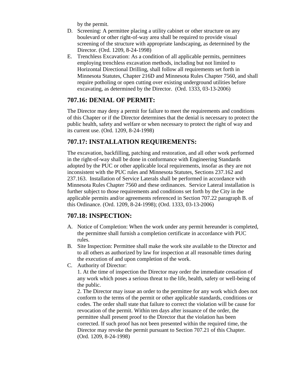by the permit.

- D. Screening: A permittee placing a utility cabinet or other structure on any boulevard or other right-of-way area shall be required to provide visual screening of the structure with appropriate landscaping, as determined by the Director. (Ord. 1209, 8-24-1998)
- E. Trenchless Excavation: As a condition of all applicable permits, permittees employing trenchless excavation methods, including but not limited to Horizontal Directional Drilling, shall follow all requirements set forth in Minnesota Statutes, Chapter 216D and Minnesota Rules Chapter 7560, and shall require potholing or open cutting over existing underground utilities before excavating, as determined by the Director. (Ord. 1333, 03-13-2006)

### **707.16: DENIAL OF PERMIT:**

The Director may deny a permit for failure to meet the requirements and conditions of this Chapter or if the Director determines that the denial is necessary to protect the public health, safety and welfare or when necessary to protect the right of way and its current use. (Ord. 1209, 8-24-1998)

### **707.17: INSTALLATION REQUIREMENTS:**

The excavation, backfilling, patching and restoration, and all other work performed in the right-of-way shall be done in conformance with Engineering Standards adopted by the PUC or other applicable local requirements, insofar as they are not inconsistent with the PUC rules and Minnesota Statutes, Sections 237.162 and 237.163. Installation of Service Laterals shall be performed in accordance with Minnesota Rules Chapter 7560 and these ordinances. Service Lateral installation is further subject to those requirements and conditions set forth by the City in the applicable permits and/or agreements referenced in Section 707.22 paragraph B. of this Ordinance. (Ord. 1209, 8-24-1998); (Ord. 1333, 03-13-2006)

### **707.18: INSPECTION:**

- A. Notice of Completion: When the work under any permit hereunder is completed, the permittee shall furnish a completion certificate in accordance with PUC rules.
- B. Site Inspection: Permittee shall make the work site available to the Director and to all others as authorized by law for inspection at all reasonable times during the execution of and upon completion of the work.
- C. Authority of Director:

1. At the time of inspection the Director may order the immediate cessation of any work which poses a serious threat to the life, health, safety or well-being of the public.

2. The Director may issue an order to the permittee for any work which does not conform to the terms of the permit or other applicable standards, conditions or codes. The order shall state that failure to correct the violation will be cause for revocation of the permit. Within ten days after issuance of the order, the permittee shall present proof to the Director that the violation has been corrected. If such proof has not been presented within the required time, the Director may revoke the permit pursuant to Section 707.21 of this Chapter. (Ord. 1209, 8-24-1998)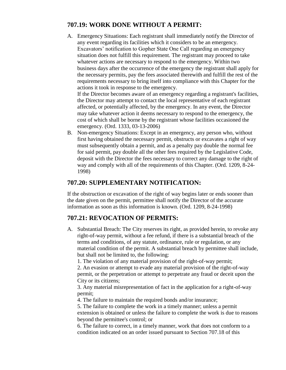### **707.19: WORK DONE WITHOUT A PERMIT:**

A. Emergency Situations: Each registrant shall immediately notify the Director of any event regarding its facilities which it considers to be an emergency. Excavators' notification to Gopher State One Call regarding an emergency situation does not fulfill this requirement. The registrant may proceed to take whatever actions are necessary to respond to the emergency. Within two business days after the occurrence of the emergency the registrant shall apply for the necessary permits, pay the fees associated therewith and fulfill the rest of the requirements necessary to bring itself into compliance with this Chapter for the actions it took in response to the emergency.

If the Director becomes aware of an emergency regarding a registrant's facilities, the Director may attempt to contact the local representative of each registrant affected, or potentially affected, by the emergency. In any event, the Director may take whatever action it deems necessary to respond to the emergency, the cost of which shall be borne by the registrant whose facilities occasioned the emergency. (Ord. 1333, 03-13-2006)

B. Non-emergency Situations: Except in an emergency, any person who, without first having obtained the necessary permit, obstructs or excavates a right of way must subsequently obtain a permit, and as a penalty pay double the normal fee for said permit, pay double all the other fees required by the Legislative Code, deposit with the Director the fees necessary to correct any damage to the right of way and comply with all of the requirements of this Chapter. (Ord. 1209, 8-24- 1998)

### **707.20: SUPPLEMENTARY NOTIFICATION:**

If the obstruction or excavation of the right of way begins later or ends sooner than the date given on the permit, permittee shall notify the Director of the accurate information as soon as this information is known. (Ord. 1209, 8-24-1998)

### **707.21: REVOCATION OF PERMITS:**

A. Substantial Breach: The City reserves its right, as provided herein, to revoke any right-of-way permit, without a fee refund, if there is a substantial breach of the terms and conditions, of any statute, ordinance, rule or regulation, or any material condition of the permit. A substantial breach by permittee shall include, but shall not be limited to, the following:

1. The violation of any material provision of the right-of-way permit;

2. An evasion or attempt to evade any material provision of the right-of-way permit, or the perpetration or attempt to perpetrate any fraud or deceit upon the City or its citizens;

3. Any material misrepresentation of fact in the application for a right-of-way permit;

4. The failure to maintain the required bonds and/or insurance;

5. The failure to complete the work in a timely manner; unless a permit extension is obtained or unless the failure to complete the work is due to reasons beyond the permittee's control; or

6. The failure to correct, in a timely manner, work that does not conform to a condition indicated on an order issued pursuant to Section 707.18 of this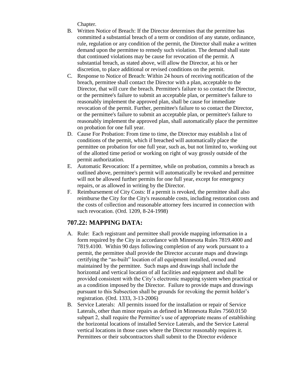Chapter.

- B. Written Notice of Breach: If the Director determines that the permittee has committed a substantial breach of a term or condition of any statute, ordinance, rule, regulation or any condition of the permit, the Director shall make a written demand upon the permittee to remedy such violation. The demand shall state that continued violations may be cause for revocation of the permit. A substantial breach, as stated above, will allow the Director, at his or her discretion, to place additional or revised conditions on the permit.
- C. Response to Notice of Breach: Within 24 hours of receiving notification of the breach, permittee shall contact the Director with a plan, acceptable to the Director, that will cure the breach. Permittee's failure to so contact the Director, or the permittee's failure to submit an acceptable plan, or permittee's failure to reasonably implement the approved plan, shall be cause for immediate revocation of the permit. Further, permittee's failure to so contact the Director, or the permittee's failure to submit an acceptable plan, or permittee's failure to reasonably implement the approved plan, shall automatically place the permittee on probation for one full year.
- D. Cause For Probation: From time to time, the Director may establish a list of conditions of the permit, which if breached will automatically place the permittee on probation for one full year, such as, but not limited to, working out of the allotted time period or working on right of way grossly outside of the permit authorization.
- E. Automatic Revocation: If a permittee, while on probation, commits a breach as outlined above, permittee's permit will automatically be revoked and permittee will not be allowed further permits for one full year, except for emergency repairs, or as allowed in writing by the Director.
- F. Reimbursement of City Costs: If a permit is revoked, the permittee shall also reimburse the City for the City's reasonable costs, including restoration costs and the costs of collection and reasonable attorney fees incurred in connection with such revocation. (Ord. 1209, 8-24-1998)

### **707.22: MAPPING DATA:**

- A. Rule: Each registrant and permittee shall provide mapping information in a form required by the City in accordance with Minnesota Rules 7819.4000 and 7819.4100. Within 90 days following completion of any work pursuant to a permit, the permittee shall provide the Director accurate maps and drawings certifying the "as-built" location of all equipment installed, owned and maintained by the permittee. Such maps and drawings shall include the horizontal and vertical location of all facilities and equipment and shall be provided consistent with the City's electronic mapping system when practical or as a condition imposed by the Director. Failure to provide maps and drawings pursuant to this Subsection shall be grounds for revoking the permit holder's registration. (Ord. 1333, 3-13-2006)
- B. Service Laterals: All permits issued for the installation or repair of Service Laterals, other than minor repairs as defined in Minnesota Rules 7560.0150 subpart 2, shall require the Permittee's use of appropriate means of establishing the horizontal locations of installed Service Laterals, and the Service Lateral vertical locations in those cases where the Director reasonably requires it. Permittees or their subcontractors shall submit to the Director evidence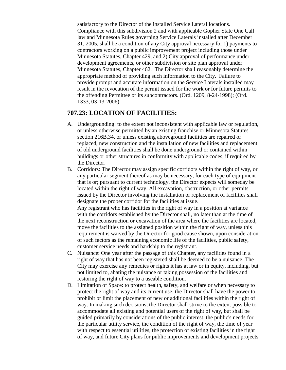satisfactory to the Director of the installed Service Lateral locations. Compliance with this subdivision 2 and with applicable Gopher State One Call law and Minnesota Rules governing Service Laterals installed after December 31, 2005, shall be a condition of any City approval necessary for 1) payments to contractors working on a public improvement project including those under Minnesota Statutes, Chapter 429, and 2) City approval of performance under development agreements, or other subdivision or site plan approval under Minnesota Statutes, Chapter 462. The Director shall reasonably determine the appropriate method of providing such information to the City. Failure to provide prompt and accurate information on the Service Laterals installed may result in the revocation of the permit issued for the work or for future permits to the offending Permittee or its subcontractors. (Ord. 1209, 8-24-1998); (Ord. 1333, 03-13-2006)

#### **707.23: LOCATION OF FACILITIES:**

- A. Undergrounding: to the extent not inconsistent with applicable law or regulation, or unless otherwise permitted by an existing franchise or Minnesota Statutes section 216B.34, or unless existing aboveground facilities are repaired or replaced, new construction and the installation of new facilities and replacement of old underground facilities shall be done underground or contained within buildings or other structures in conformity with applicable codes, if required by the Director.
- B. Corridors: The Director may assign specific corridors within the right of way, or any particular segment thereof as may be necessary, for each type of equipment that is or; pursuant to current technology, the Director expects will someday be located within the right of way. All excavation, obstruction, or other permits issued by the Director involving the installation or replacement of facilities shall designate the proper corridor for the facilities at issue.

Any registrant who has facilities in the right of way in a position at variance with the corridors established by the Director shall, no later than at the time of the next reconstruction or excavation of the area where the facilities are located, move the facilities to the assigned position within the right of way, unless this requirement is waived by the Director for good cause shown, upon consideration of such factors as the remaining economic life of the facilities, public safety, customer service needs and hardship to the registrant.

- C. Nuisance: One year after the passage of this Chapter, any facilities found in a right of way that has not been registered shall be deemed to be a nuisance. The City may exercise any remedies or rights it has at law or in equity, including, but not limited to, abating the nuisance or taking possession of the facilities and restoring the right of way to a useable condition.
- D. Limitation of Space: to protect health, safety, and welfare or when necessary to protect the right of way and its current use, the Director shall have the power to prohibit or limit the placement of new or additional facilities within the right of way. In making such decisions, the Director shall strive to the extent possible to accommodate all existing and potential users of the right of way, but shall be guided primarily by considerations of the public interest, the public's needs for the particular utility service, the condition of the right of way, the time of year with respect to essential utilities, the protection of existing facilities in the right of way, and future City plans for public improvements and development projects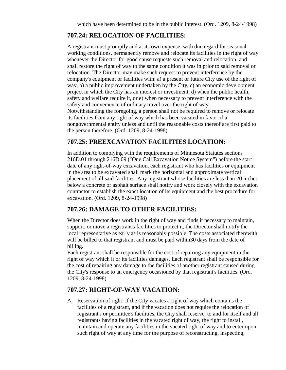### **707.24: RELOCATION OF FACILITIES:**

A registrant must promptly and at its own expense, with due regard for seasonal working conditions, permanently remove and relocate its facilities in the right of way whenever the Director for good cause requests such removal and relocation, and shall restore the right of way to the same condition it was in prior to said removal or relocation. The Director may make such request to prevent interference by the company's equipment or facilities with: a) a present or future City use of the right of way, b) a public improvement undertaken by the City, c) an economic development project in which the City has an interest or investment, d) when the public health, safety and welfare require it, or e) when necessary to prevent interference with the safety and convenience of ordinary travel over the right of way. Notwithstanding the foregoing, a person shall not be required to remove or relocate its facilities from any right of way which has been vacated in favor of a nongovernmental entity unless and until the reasonable costs thereof are first paid to the person therefore. (Ord. 1209, 8-24-1998)

### **707.25: PREEXCAVATION FACILITIES LOCATION:**

In addition to complying with the requirements of Minnesota Statutes sections 216D.01 through 216D.09 ("One Call Excavation Notice System") before the start date of any right-of-way excavation, each registrant who has facilities or equipment in the area to be excavated shall mark the horizontal and approximate vertical placement of all said facilities. Any registrant whose facilities are less than 20 inches below a concrete or asphalt surface shall notify and work closely with the excavation contractor to establish the exact location of its equipment and the best procedure for excavation. (Ord. 1209, 8-24-1998)

### **707.26: DAMAGE TO OTHER FACILITIES:**

When the Director does work in the right of way and finds it necessary to maintain, support, or move a registrant's facilities to protect it, the Director shall notify the local representative as early as is reasonably possible. The costs associated therewith will be billed to that registrant and must be paid within 30 days from the date of billing.

Each registrant shall be responsible for the cost of repairing any equipment in the right of way which it or its facilities damages. Each registrant shall be responsible for the cost of repairing any damage to the facilities of another registrant caused during the City's response to an emergency occasioned by that registrant's facilities. (Ord. 1209, 8-24-1998)

### **707.27: RIGHT-OF-WAY VACATION:**

A. Reservation of right: If the City vacates a right of way which contains the facilities of a registrant, and if the vacation does not require the relocation of registrant's or permittee's facilities, the City shall reserve, to and for itself and all registrants having facilities in the vacated right of way, the right to install, maintain and operate any facilities in the vacated right of way and to enter upon such right of way at any time for the purpose of reconstructing, inspecting,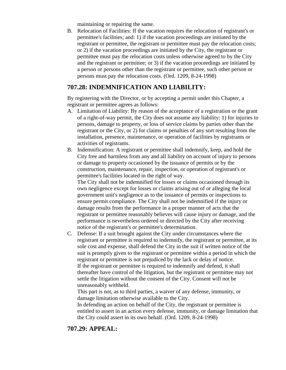maintaining or repairing the same.

B. Relocation of Facilities: If the vacation requires the relocation of registrant's or permittee's facilities; and: 1) if the vacation proceedings are initiated by the registrant or permittee, the registrant or permittee must pay the relocation costs; or 2) if the vacation proceedings are initiated by the City, the registrant or permittee must pay the relocation costs unless otherwise agreed to by the City and the registrant or permittee; or 3) if the vacation proceedings are initiated by a person or persons other than the registrant or permittee, such other person or persons must pay the relocation costs. (Ord. 1209, 8-24-1998)

### **707.28: INDEMNIFICATION AND LIABILITY:**

By registering with the Director, or by accepting a permit under this Chapter, a registrant or permittee agrees as follows:

- A. Limitation of Liability: By reason of the acceptance of a registration or the grant of a right-of-way permit, the City does not assume any liability: 1) for injuries to persons, damage to property, or loss of service claims by parties other than the registrant or the City, or 2) for claims or penalties of any sort resulting from the installation, presence, maintenance, or operation of facilities by registrants or activities of registrants.
- B. Indemnification: A registrant or permittee shall indemnify, keep, and hold the City free and harmless from any and all liability on account of injury to persons or damage to property occasioned by the issuance of permits or by the construction, maintenance, repair, inspection, or operation of registrant's or permittee's facilities located in the right of way.

The City shall not be indemnified for losses or claims occasioned through its own negligence except for losses or claims arising out of or alleging the local government unit's negligence as to the issuance of permits or inspections to ensure permit compliance. The City shall not be indemnified if the injury or damage results from the performance in a proper manner of acts that the registrant or permittee reasonably believes will cause injury or damage, and the performance is nevertheless ordered or directed by the City after receiving notice of the registrant's or permittee's determination.

C. Defense: If a suit brought against the City under circumstances where the registrant or permittee is required to indemnify, the registrant or permittee, at its sole cost and expense, shall defend the City in the suit if written notice of the suit is promptly given to the registrant or permittee within a period in which the registrant or permittee is not prejudiced by the lack or delay of notice. If the registrant or permittee is required to indemnify and defend, it shall thereafter have control of the litigation, but the registrant or permittee may not settle the litigation without the consent of the City. Consent will not be unreasonably withheld.

This part is not, as to third parties, a waiver of any defense, immunity, or damage limitation otherwise available to the City.

In defending an action on behalf of the City, the registrant or permittee is entitled to assert in an action every defense, immunity, or damage limitation that the City could assert in its own behalf. (Ord. 1209, 8-24-1998)

### **707.29: APPEAL:**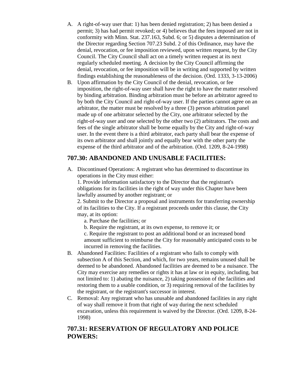- A. A right-of-way user that: 1) has been denied registration; 2) has been denied a permit; 3) has had permit revoked; or 4) believes that the fees imposed are not in conformity with Minn. Stat. 237.163, Subd. 6; or 5) disputes a determination of the Director regarding Section 707.23 Subd. 2 of this Ordinance, may have the denial, revocation, or fee imposition reviewed, upon written request, by the City Council. The City Council shall act on a timely written request at its next regularly scheduled meeting. A decision by the City Council affirming the denial, revocation, or fee imposition will be in writing and supported by written findings establishing the reasonableness of the decision. (Ord. 1333, 3-13-2006)
- B. Upon affirmation by the City Council of the denial, revocation, or fee imposition, the right-of-way user shall have the right to have the matter resolved by binding arbitration. Binding arbitration must be before an arbitrator agreed to by both the City Council and right-of-way user. If the parties cannot agree on an arbitrator, the matter must be resolved by a three (3) person arbitration panel made up of one arbitrator selected by the City, one arbitrator selected by the right-of-way user and one selected by the other two (2) arbitrators. The costs and fees of the single arbitrator shall be borne equally by the City and right-of-way user. In the event there is a third arbitrator, each party shall bear the expense of its own arbitrator and shall jointly and equally bear with the other party the expense of the third arbitrator and of the arbitration. (Ord. 1209, 8-24-1998)

### **707.30: ABANDONED AND UNUSABLE FACILITIES:**

A. Discontinued Operations: A registrant who has determined to discontinue its operations in the City must either:

1. Provide information satisfactory to the Director that the registrant's obligations for its facilities in the right of way under this Chapter have been lawfully assumed by another registrant; or

2. Submit to the Director a proposal and instruments for transferring ownership of its facilities to the City. If a registrant proceeds under this clause, the City may, at its option:

- a. Purchase the facilities; or
- b. Require the registrant, at its own expense, to remove it; or

c. Require the registrant to post an additional bond or an increased bond amount sufficient to reimburse the City for reasonably anticipated costs to be incurred in removing the facilities.

- B. Abandoned Facilities: Facilities of a registrant who fails to comply with subsection A of this Section, and which, for two years, remains unused shall be deemed to be abandoned. Abandoned facilities are deemed to be a nuisance. The City may exercise any remedies or rights it has at law or in equity, including, but not limited to: 1) abating the nuisance, 2) taking possession of the facilities and restoring them to a usable condition, or 3) requiring removal of the facilities by the registrant, or the registrant's successor in interest.
- C. Removal: Any registrant who has unusable and abandoned facilities in any right of way shall remove it from that right of way during the next scheduled excavation, unless this requirement is waived by the Director. (Ord. 1209, 8-24- 1998)

### **707.31: RESERVATION OF REGULATORY AND POLICE POWERS:**